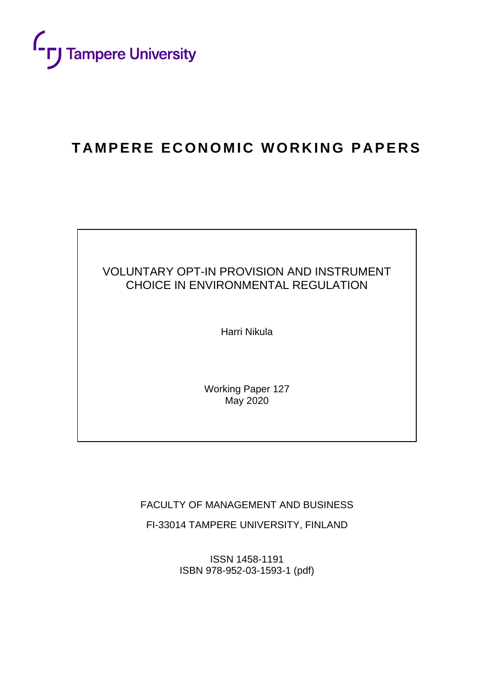

# **TAMPERE ECONOMIC WORKING PAPERS**

### VOLUNTARY OPT-IN PROVISION AND INSTRUMENT CHOICE IN ENVIRONMENTAL REGULATION

Harri Nikula

Working Paper 127 May 2020

FACULTY OF MANAGEMENT AND BUSINESS

FI-33014 TAMPERE UNIVERSITY, FINLAND

ISSN 1458-1191 ISBN 978-952-03-1593-1 (pdf)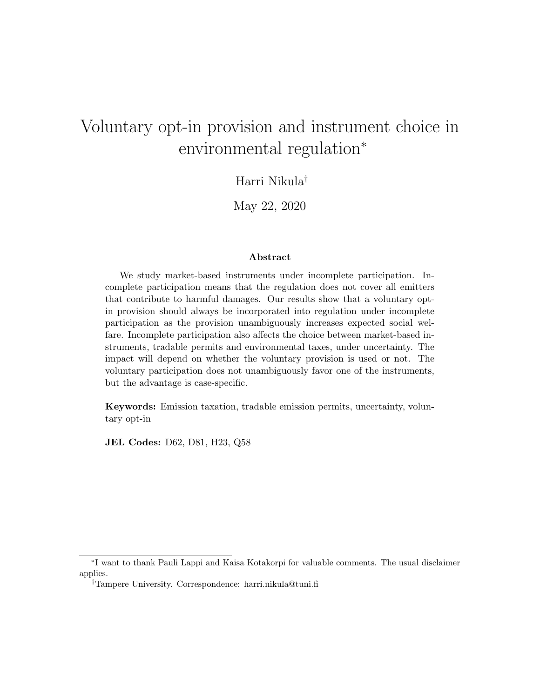# Voluntary opt-in provision and instrument choice in environmental regulation<sup>∗</sup>

Harri Nikula†

May 22, 2020

#### Abstract

We study market-based instruments under incomplete participation. Incomplete participation means that the regulation does not cover all emitters that contribute to harmful damages. Our results show that a voluntary optin provision should always be incorporated into regulation under incomplete participation as the provision unambiguously increases expected social welfare. Incomplete participation also affects the choice between market-based instruments, tradable permits and environmental taxes, under uncertainty. The impact will depend on whether the voluntary provision is used or not. The voluntary participation does not unambiguously favor one of the instruments, but the advantage is case-specific.

Keywords: Emission taxation, tradable emission permits, uncertainty, voluntary opt-in

JEL Codes: D62, D81, H23, Q58

<sup>∗</sup> I want to thank Pauli Lappi and Kaisa Kotakorpi for valuable comments. The usual disclaimer applies.

<sup>†</sup>Tampere University. Correspondence: harri.nikula@tuni.fi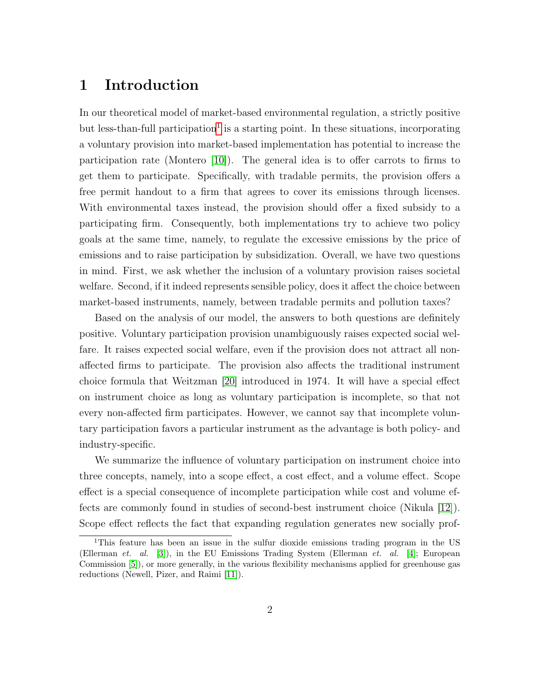## 1 Introduction

In our theoretical model of market-based environmental regulation, a strictly positive but less-than-full participation<sup>[1](#page-2-0)</sup> is a starting point. In these situations, incorporating a voluntary provision into market-based implementation has potential to increase the participation rate (Montero [\[10\]](#page-26-0)). The general idea is to offer carrots to firms to get them to participate. Specifically, with tradable permits, the provision offers a free permit handout to a firm that agrees to cover its emissions through licenses. With environmental taxes instead, the provision should offer a fixed subsidy to a participating firm. Consequently, both implementations try to achieve two policy goals at the same time, namely, to regulate the excessive emissions by the price of emissions and to raise participation by subsidization. Overall, we have two questions in mind. First, we ask whether the inclusion of a voluntary provision raises societal welfare. Second, if it indeed represents sensible policy, does it affect the choice between market-based instruments, namely, between tradable permits and pollution taxes?

Based on the analysis of our model, the answers to both questions are definitely positive. Voluntary participation provision unambiguously raises expected social welfare. It raises expected social welfare, even if the provision does not attract all nonaffected firms to participate. The provision also affects the traditional instrument choice formula that Weitzman [\[20\]](#page-27-0) introduced in 1974. It will have a special effect on instrument choice as long as voluntary participation is incomplete, so that not every non-affected firm participates. However, we cannot say that incomplete voluntary participation favors a particular instrument as the advantage is both policy- and industry-specific.

We summarize the influence of voluntary participation on instrument choice into three concepts, namely, into a scope effect, a cost effect, and a volume effect. Scope effect is a special consequence of incomplete participation while cost and volume effects are commonly found in studies of second-best instrument choice (Nikula [\[12\]](#page-26-1)). Scope effect reflects the fact that expanding regulation generates new socially prof-

<span id="page-2-0"></span><sup>&</sup>lt;sup>1</sup>This feature has been an issue in the sulfur dioxide emissions trading program in the US (Ellerman et. al. [\[3\]](#page-25-0)), in the EU Emissions Trading System (Ellerman et. al. [\[4\]](#page-25-1); European Commission [\[5\]](#page-26-2)), or more generally, in the various flexibility mechanisms applied for greenhouse gas reductions (Newell, Pizer, and Raimi [\[11\]](#page-26-3)).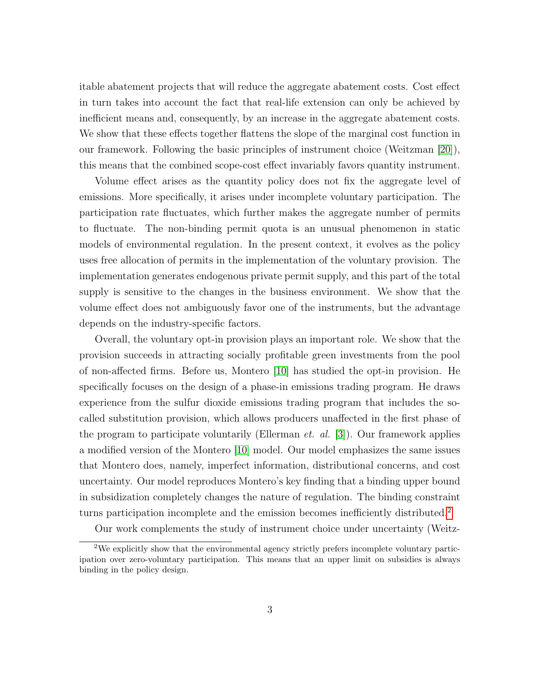itable abatement projects that will reduce the aggregate abatement costs. Cost effect in turn takes into account the fact that real-life extension can only be achieved by inefficient means and, consequently, by an increase in the aggregate abatement costs. We show that these effects together flattens the slope of the marginal cost function in our framework. Following the basic principles of instrument choice (Weitzman [\[20\]](#page-27-0)), this means that the combined scope-cost effect invariably favors quantity instrument.

Volume effect arises as the quantity policy does not fix the aggregate level of emissions. More specifically, it arises under incomplete voluntary participation. The participation rate fluctuates, which further makes the aggregate number of permits to fluctuate. The non-binding permit quota is an unusual phenomenon in static models of environmental regulation. In the present context, it evolves as the policy uses free allocation of permits in the implementation of the voluntary provision. The implementation generates endogenous private permit supply, and this part of the total supply is sensitive to the changes in the business environment. We show that the volume effect does not ambiguously favor one of the instruments, but the advantage depends on the industry-specific factors.

Overall, the voluntary opt-in provision plays an important role. We show that the provision succeeds in attracting socially profitable green investments from the pool of non-affected firms. Before us, Montero [\[10\]](#page-26-0) has studied the opt-in provision. He specifically focuses on the design of a phase-in emissions trading program. He draws experience from the sulfur dioxide emissions trading program that includes the socalled substitution provision, which allows producers unaffected in the first phase of the program to participate voluntarily (Ellerman *et. al.* [\[3\]](#page-25-0)). Our framework applies a modified version of the Montero [\[10\]](#page-26-0) model. Our model emphasizes the same issues that Montero does, namely, imperfect information, distributional concerns, and cost uncertainty. Our model reproduces Montero's key finding that a binding upper bound in subsidization completely changes the nature of regulation. The binding constraint turns participation incomplete and the emission becomes inefficiently distributed.<sup>[2](#page-3-0)</sup>

<span id="page-3-0"></span>Our work complements the study of instrument choice under uncertainty (Weitz-

<sup>2</sup>We explicitly show that the environmental agency strictly prefers incomplete voluntary participation over zero-voluntary participation. This means that an upper limit on subsidies is always binding in the policy design.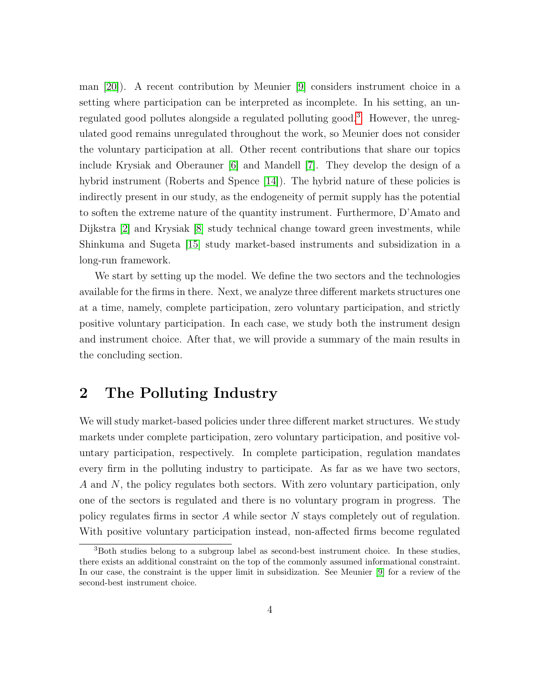man [\[20\]](#page-27-0)). A recent contribution by Meunier [\[9\]](#page-26-4) considers instrument choice in a setting where participation can be interpreted as incomplete. In his setting, an unregulated good pollutes alongside a regulated polluting good.[3](#page-4-0) However, the unregulated good remains unregulated throughout the work, so Meunier does not consider the voluntary participation at all. Other recent contributions that share our topics include Krysiak and Oberauner [\[6\]](#page-26-5) and Mandell [\[7\]](#page-26-6). They develop the design of a hybrid instrument (Roberts and Spence [\[14\]](#page-26-7)). The hybrid nature of these policies is indirectly present in our study, as the endogeneity of permit supply has the potential to soften the extreme nature of the quantity instrument. Furthermore, D'Amato and Dijkstra [\[2\]](#page-25-2) and Krysiak [\[8\]](#page-26-8) study technical change toward green investments, while Shinkuma and Sugeta [\[15\]](#page-26-9) study market-based instruments and subsidization in a long-run framework.

We start by setting up the model. We define the two sectors and the technologies available for the firms in there. Next, we analyze three different markets structures one at a time, namely, complete participation, zero voluntary participation, and strictly positive voluntary participation. In each case, we study both the instrument design and instrument choice. After that, we will provide a summary of the main results in the concluding section.

## 2 The Polluting Industry

We will study market-based policies under three different market structures. We study markets under complete participation, zero voluntary participation, and positive voluntary participation, respectively. In complete participation, regulation mandates every firm in the polluting industry to participate. As far as we have two sectors, A and N, the policy regulates both sectors. With zero voluntary participation, only one of the sectors is regulated and there is no voluntary program in progress. The policy regulates firms in sector  $A$  while sector  $N$  stays completely out of regulation. With positive voluntary participation instead, non-affected firms become regulated

<span id="page-4-0"></span><sup>3</sup>Both studies belong to a subgroup label as second-best instrument choice. In these studies, there exists an additional constraint on the top of the commonly assumed informational constraint. In our case, the constraint is the upper limit in subsidization. See Meunier [\[9\]](#page-26-4) for a review of the second-best instrument choice.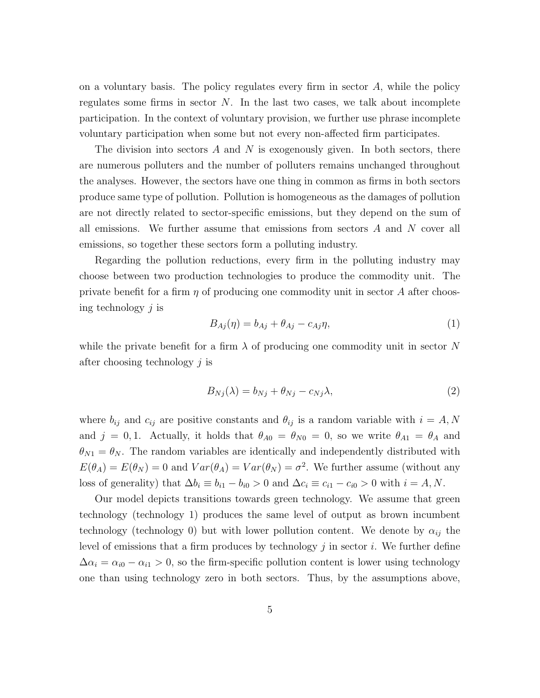on a voluntary basis. The policy regulates every firm in sector A, while the policy regulates some firms in sector  $N$ . In the last two cases, we talk about incomplete participation. In the context of voluntary provision, we further use phrase incomplete voluntary participation when some but not every non-affected firm participates.

The division into sectors  $A$  and  $N$  is exogenously given. In both sectors, there are numerous polluters and the number of polluters remains unchanged throughout the analyses. However, the sectors have one thing in common as firms in both sectors produce same type of pollution. Pollution is homogeneous as the damages of pollution are not directly related to sector-specific emissions, but they depend on the sum of all emissions. We further assume that emissions from sectors  $A$  and  $N$  cover all emissions, so together these sectors form a polluting industry.

Regarding the pollution reductions, every firm in the polluting industry may choose between two production technologies to produce the commodity unit. The private benefit for a firm  $\eta$  of producing one commodity unit in sector A after choosing technology j is

$$
B_{Aj}(\eta) = b_{Aj} + \theta_{Aj} - c_{Aj}\eta,
$$
\n<sup>(1)</sup>

while the private benefit for a firm  $\lambda$  of producing one commodity unit in sector N after choosing technology  $j$  is

$$
B_{Nj}(\lambda) = b_{Nj} + \theta_{Nj} - c_{Nj}\lambda,
$$
\n(2)

where  $b_{ij}$  and  $c_{ij}$  are positive constants and  $\theta_{ij}$  is a random variable with  $i = A, N$ and  $j = 0, 1$ . Actually, it holds that  $\theta_{A0} = \theta_{N0} = 0$ , so we write  $\theta_{A1} = \theta_A$  and  $\theta_{N1} = \theta_N$ . The random variables are identically and independently distributed with  $E(\theta_A) = E(\theta_N) = 0$  and  $Var(\theta_A) = Var(\theta_N) = \sigma^2$ . We further assume (without any loss of generality) that  $\Delta b_i \equiv b_{i1} - b_{i0} > 0$  and  $\Delta c_i \equiv c_{i1} - c_{i0} > 0$  with  $i = A, N$ .

Our model depicts transitions towards green technology. We assume that green technology (technology 1) produces the same level of output as brown incumbent technology (technology 0) but with lower pollution content. We denote by  $\alpha_{ij}$  the level of emissions that a firm produces by technology  $j$  in sector  $i$ . We further define  $\Delta \alpha_i = \alpha_{i0} - \alpha_{i1} > 0$ , so the firm-specific pollution content is lower using technology one than using technology zero in both sectors. Thus, by the assumptions above,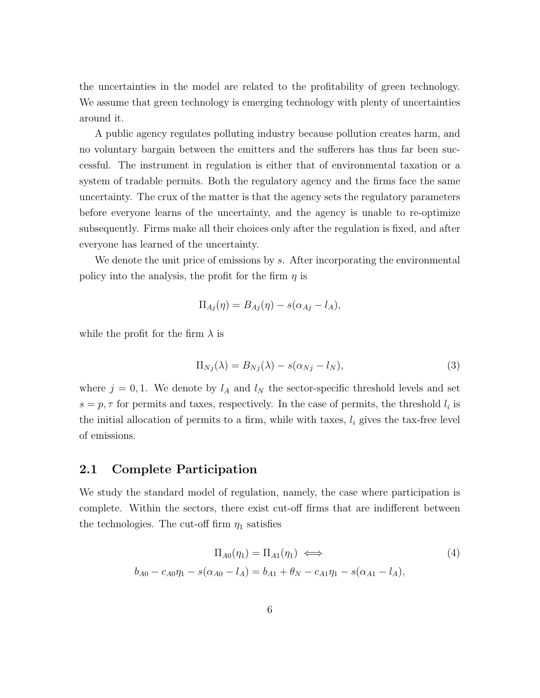the uncertainties in the model are related to the profitability of green technology. We assume that green technology is emerging technology with plenty of uncertainties around it.

A public agency regulates polluting industry because pollution creates harm, and no voluntary bargain between the emitters and the sufferers has thus far been successful. The instrument in regulation is either that of environmental taxation or a system of tradable permits. Both the regulatory agency and the firms face the same uncertainty. The crux of the matter is that the agency sets the regulatory parameters before everyone learns of the uncertainty, and the agency is unable to re-optimize subsequently. Firms make all their choices only after the regulation is fixed, and after everyone has learned of the uncertainty.

We denote the unit price of emissions by s. After incorporating the environmental policy into the analysis, the profit for the firm  $\eta$  is

$$
\Pi_{Aj}(\eta) = B_{Aj}(\eta) - s(\alpha_{Aj} - l_A),
$$

while the profit for the firm  $\lambda$  is

$$
\Pi_{Nj}(\lambda) = B_{Nj}(\lambda) - s(\alpha_{Nj} - l_N),\tag{3}
$$

where  $j = 0, 1$ . We denote by  $l_A$  and  $l_N$  the sector-specific threshold levels and set  $s = p, \tau$  for permits and taxes, respectively. In the case of permits, the threshold  $l_i$  is the initial allocation of permits to a firm, while with taxes,  $l_i$  gives the tax-free level of emissions.

#### 2.1 Complete Participation

We study the standard model of regulation, namely, the case where participation is complete. Within the sectors, there exist cut-off firms that are indifferent between the technologies. The cut-off firm  $\eta_1$  satisfies

$$
\Pi_{A0}(\eta_1) = \Pi_{A1}(\eta_1) \iff (4)
$$
\n
$$
b_{A0} - c_{A0}\eta_1 - s(\alpha_{A0} - l_A) = b_{A1} + \theta_N - c_{A1}\eta_1 - s(\alpha_{A1} - l_A),
$$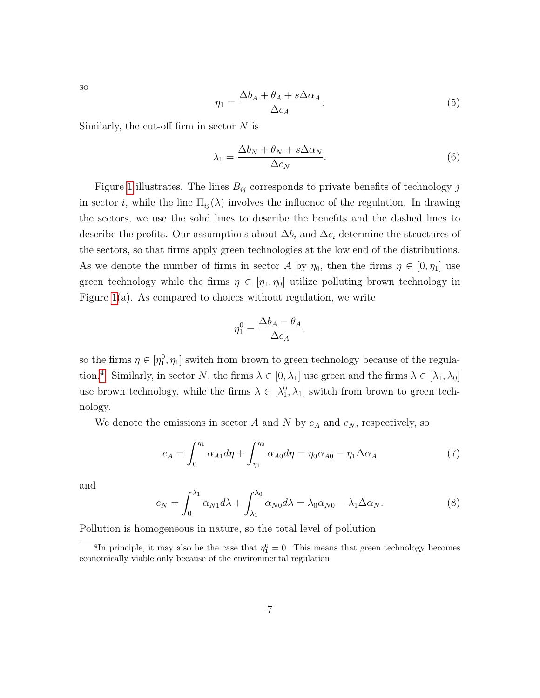<span id="page-7-1"></span>
$$
\eta_1 = \frac{\Delta b_A + \theta_A + s \Delta \alpha_A}{\Delta c_A}.\tag{5}
$$

Similarly, the cut-off firm in sector  $N$  is

<span id="page-7-2"></span>
$$
\lambda_1 = \frac{\Delta b_N + \theta_N + s\Delta\alpha_N}{\Delta c_N}.\tag{6}
$$

Figure [1](#page-8-0) illustrates. The lines  $B_{ij}$  corresponds to private benefits of technology j in sector *i*, while the line  $\Pi_{ij}(\lambda)$  involves the influence of the regulation. In drawing the sectors, we use the solid lines to describe the benefits and the dashed lines to describe the profits. Our assumptions about  $\Delta b_i$  and  $\Delta c_i$  determine the structures of the sectors, so that firms apply green technologies at the low end of the distributions. As we denote the number of firms in sector A by  $\eta_0$ , then the firms  $\eta \in [0, \eta_1]$  use green technology while the firms  $\eta \in [\eta_1, \eta_0]$  utilize polluting brown technology in Figure [1\(](#page-8-0)a). As compared to choices without regulation, we write

$$
\eta_1^0 = \frac{\Delta b_A - \theta_A}{\Delta c_A},
$$

so the firms  $\eta \in [\eta_1^0, \eta_1]$  switch from brown to green technology because of the regula-tion.<sup>[4](#page-7-0)</sup> Similarly, in sector N, the firms  $\lambda \in [0, \lambda_1]$  use green and the firms  $\lambda \in [\lambda_1, \lambda_0]$ use brown technology, while the firms  $\lambda \in [\lambda_1^0, \lambda_1]$  switch from brown to green technology.

We denote the emissions in sector A and N by  $e_A$  and  $e_N$ , respectively, so

<span id="page-7-3"></span>
$$
e_A = \int_0^{\eta_1} \alpha_{A1} d\eta + \int_{\eta_1}^{\eta_0} \alpha_{A0} d\eta = \eta_0 \alpha_{A0} - \eta_1 \Delta \alpha_A \tag{7}
$$

and

<span id="page-7-4"></span>
$$
e_N = \int_0^{\lambda_1} \alpha_{N1} d\lambda + \int_{\lambda_1}^{\lambda_0} \alpha_{N0} d\lambda = \lambda_0 \alpha_{N0} - \lambda_1 \Delta \alpha_N. \tag{8}
$$

Pollution is homogeneous in nature, so the total level of pollution

so

<span id="page-7-0"></span><sup>&</sup>lt;sup>4</sup>In principle, it may also be the case that  $\eta_1^0 = 0$ . This means that green technology becomes economically viable only because of the environmental regulation.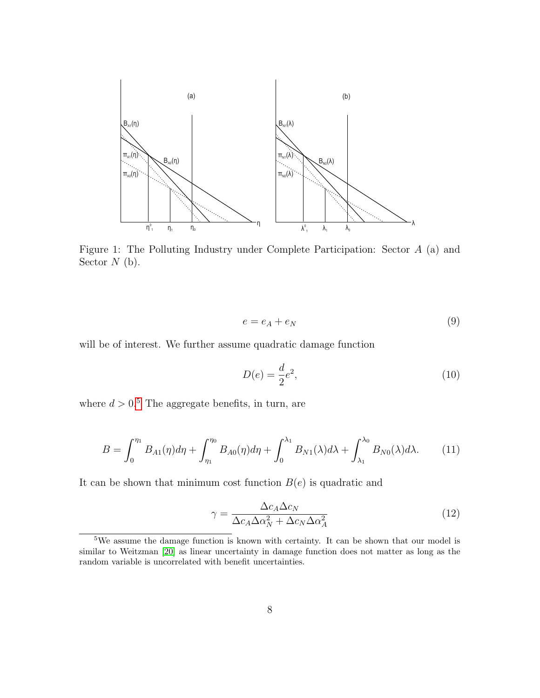<span id="page-8-0"></span>

Figure 1: The Polluting Industry under Complete Participation: Sector A (a) and Sector  $N$  (b).

$$
e = e_A + e_N \tag{9}
$$

will be of interest. We further assume quadratic damage function

$$
D(e) = \frac{d}{2}e^2,\tag{10}
$$

where  $d > 0.5$  $d > 0.5$  The aggregate benefits, in turn, are

<span id="page-8-3"></span>
$$
B = \int_0^{\eta_1} B_{A1}(\eta) d\eta + \int_{\eta_1}^{\eta_0} B_{A0}(\eta) d\eta + \int_0^{\lambda_1} B_{N1}(\lambda) d\lambda + \int_{\lambda_1}^{\lambda_0} B_{N0}(\lambda) d\lambda.
$$
 (11)

It can be shown that minimum cost function  $B(e)$  is quadratic and

<span id="page-8-2"></span>
$$
\gamma = \frac{\Delta c_A \Delta c_N}{\Delta c_A \Delta \alpha_N^2 + \Delta c_N \Delta \alpha_A^2}
$$
(12)

<span id="page-8-1"></span> $5$ We assume the damage function is known with certainty. It can be shown that our model is similar to Weitzman [\[20\]](#page-27-0) as linear uncertainty in damage function does not matter as long as the random variable is uncorrelated with benefit uncertainties.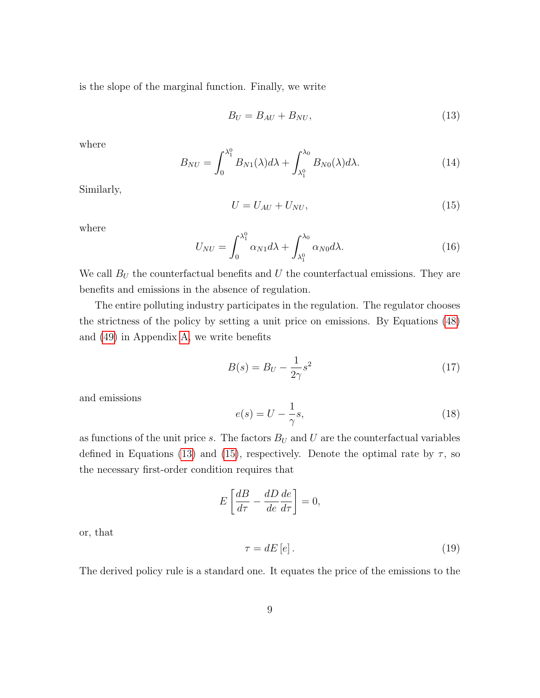is the slope of the marginal function. Finally, we write

<span id="page-9-0"></span>
$$
B_U = B_{AU} + B_{NU},\tag{13}
$$

where

<span id="page-9-4"></span>
$$
B_{NU} = \int_0^{\lambda_1^0} B_{N1}(\lambda) d\lambda + \int_{\lambda_1^0}^{\lambda_0} B_{N0}(\lambda) d\lambda.
$$
 (14)

Similarly,

<span id="page-9-1"></span>
$$
U = U_{AU} + U_{NU},\tag{15}
$$

where

<span id="page-9-5"></span>
$$
U_{NU} = \int_0^{\lambda_1^0} \alpha_{N1} d\lambda + \int_{\lambda_1^0}^{\lambda_0} \alpha_{N0} d\lambda.
$$
 (16)

We call  $B_U$  the counterfactual benefits and U the counterfactual emissions. They are benefits and emissions in the absence of regulation.

The entire polluting industry participates in the regulation. The regulator chooses the strictness of the policy by setting a unit price on emissions. By Equations [\(48\)](#page-28-0) and [\(49\)](#page-28-1) in Appendix [A,](#page-28-2) we write benefits

$$
B(s) = B_U - \frac{1}{2\gamma}s^2\tag{17}
$$

and emissions

<span id="page-9-2"></span>
$$
e(s) = U - \frac{1}{\gamma}s,\tag{18}
$$

as functions of the unit price s. The factors  $B_U$  and U are the counterfactual variables defined in Equations [\(13\)](#page-9-0) and [\(15\)](#page-9-1), respectively. Denote the optimal rate by  $\tau$ , so the necessary first-order condition requires that

$$
E\left[\frac{dB}{d\tau} - \frac{dD}{de}\frac{de}{d\tau}\right] = 0,
$$

or, that

<span id="page-9-3"></span>
$$
\tau = dE\left[e\right].\tag{19}
$$

The derived policy rule is a standard one. It equates the price of the emissions to the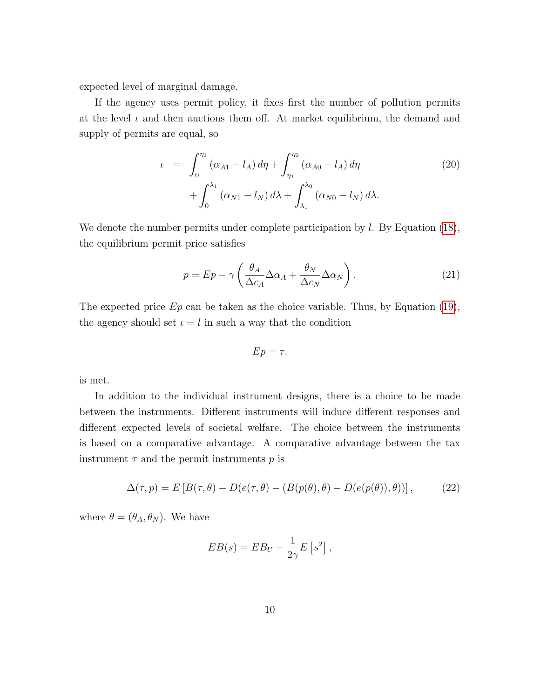expected level of marginal damage.

If the agency uses permit policy, it fixes first the number of pollution permits at the level  $\iota$  and then auctions them off. At market equilibrium, the demand and supply of permits are equal, so

$$
\iota = \int_0^{\eta_1} (\alpha_{A1} - l_A) d\eta + \int_{\eta_1}^{\eta_0} (\alpha_{A0} - l_A) d\eta + \int_0^{\lambda_1} (\alpha_{N1} - l_N) d\lambda + \int_{\lambda_1}^{\lambda_0} (\alpha_{N0} - l_N) d\lambda.
$$
 (20)

We denote the number permits under complete participation by  $l$ . By Equation [\(18\)](#page-9-2), the equilibrium permit price satisfies

$$
p = Ep - \gamma \left( \frac{\theta_A}{\Delta c_A} \Delta \alpha_A + \frac{\theta_N}{\Delta c_N} \Delta \alpha_N \right). \tag{21}
$$

The expected price  $Ep$  can be taken as the choice variable. Thus, by Equation [\(19\)](#page-9-3), the agency should set  $\iota = l$  in such a way that the condition

$$
Ep=\tau.
$$

is met.

In addition to the individual instrument designs, there is a choice to be made between the instruments. Different instruments will induce different responses and different expected levels of societal welfare. The choice between the instruments is based on a comparative advantage. A comparative advantage between the tax instrument  $\tau$  and the permit instruments  $p$  is

$$
\Delta(\tau, p) = E\left[B(\tau, \theta) - D(e(\tau, \theta) - (B(p(\theta), \theta) - D(e(p(\theta)), \theta))\right],\tag{22}
$$

where  $\theta = (\theta_A, \theta_N)$ . We have

$$
EB(s) = EB_U - \frac{1}{2\gamma}E\left[s^2\right],
$$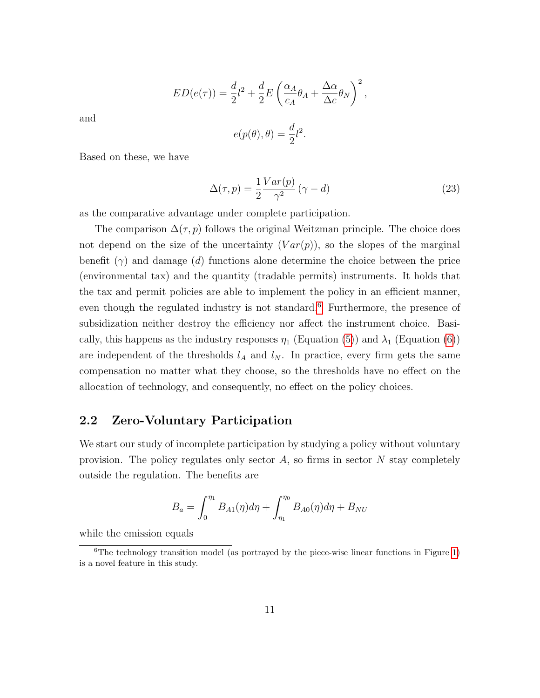$$
ED(e(\tau)) = \frac{d}{2}l^2 + \frac{d}{2}E\left(\frac{\alpha_A}{c_A}\theta_A + \frac{\Delta\alpha}{\Delta c}\theta_N\right)^2,
$$

and

$$
e(p(\theta), \theta) = \frac{d}{2}l^2.
$$

Based on these, we have

<span id="page-11-1"></span>
$$
\Delta(\tau, p) = \frac{1}{2} \frac{Var(p)}{\gamma^2} (\gamma - d)
$$
\n(23)

as the comparative advantage under complete participation.

The comparison  $\Delta(\tau, p)$  follows the original Weitzman principle. The choice does not depend on the size of the uncertainty  $(Var(p))$ , so the slopes of the marginal benefit  $(\gamma)$  and damage (d) functions alone determine the choice between the price (environmental tax) and the quantity (tradable permits) instruments. It holds that the tax and permit policies are able to implement the policy in an efficient manner, even though the regulated industry is not standard.<sup>[6](#page-11-0)</sup> Furthermore, the presence of subsidization neither destroy the efficiency nor affect the instrument choice. Basically, this happens as the industry responses  $\eta_1$  (Equation [\(5\)](#page-7-1)) and  $\lambda_1$  (Equation [\(6\)](#page-7-2)) are independent of the thresholds  $l_A$  and  $l_N$ . In practice, every firm gets the same compensation no matter what they choose, so the thresholds have no effect on the allocation of technology, and consequently, no effect on the policy choices.

#### 2.2 Zero-Voluntary Participation

We start our study of incomplete participation by studying a policy without voluntary provision. The policy regulates only sector  $A$ , so firms in sector  $N$  stay completely outside the regulation. The benefits are

$$
B_a = \int_0^{\eta_1} B_{A1}(\eta) d\eta + \int_{\eta_1}^{\eta_0} B_{A0}(\eta) d\eta + B_{NU}
$$

while the emission equals

<span id="page-11-0"></span> ${}^{6}$ The technology transition model (as portrayed by the piece-wise linear functions in Figure [1\)](#page-8-0) is a novel feature in this study.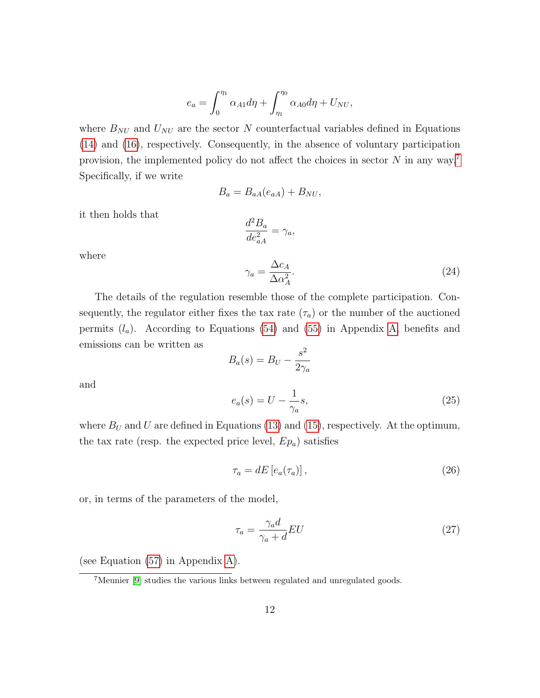$$
e_a = \int_0^{\eta_1} \alpha_{A1} d\eta + \int_{\eta_1}^{\eta_0} \alpha_{A0} d\eta + U_{NU},
$$

where  $B_{NU}$  and  $U_{NU}$  are the sector N counterfactual variables defined in Equations [\(14\)](#page-9-4) and [\(16\)](#page-9-5), respectively. Consequently, in the absence of voluntary participation provision, the implemented policy do not affect the choices in sector  $N$  in any way.<sup>[7](#page-12-0)</sup> Specifically, if we write

$$
B_a = B_{aA}(e_{aA}) + B_{NU},
$$

 $=$   $\gamma_a$ ,

 $d^2B_a$  $de_{aA}^2$ 

it then holds that

where

$$
\gamma_a = \frac{\Delta c_A}{\Delta \alpha_A^2}.\tag{24}
$$

The details of the regulation resemble those of the complete participation. Consequently, the regulator either fixes the tax rate  $(\tau_a)$  or the number of the auctioned permits  $(l_a)$ . According to Equations [\(54\)](#page-29-0) and [\(55\)](#page-29-1) in Appendix [A,](#page-28-2) benefits and emissions can be written as

$$
B_a(s) = B_U - \frac{s^2}{2\gamma_a}
$$
  

$$
e_a(s) = U - \frac{1}{\gamma_a} s,
$$
 (25)

and

where  $B_U$  and U are defined in Equations [\(13\)](#page-9-0) and [\(15\)](#page-9-1), respectively. At the optimum, the tax rate (resp. the expected price level,  $Ep_a$ ) satisfies

<span id="page-12-1"></span>
$$
\tau_a = dE\left[e_a(\tau_a)\right],\tag{26}
$$

or, in terms of the parameters of the model,

$$
\tau_a = \frac{\gamma_a d}{\gamma_a + d} EU \tag{27}
$$

(see Equation [\(57\)](#page-30-0) in Appendix [A\)](#page-28-2).

<span id="page-12-0"></span><sup>7</sup>Meunier [\[9\]](#page-26-4) studies the various links between regulated and unregulated goods.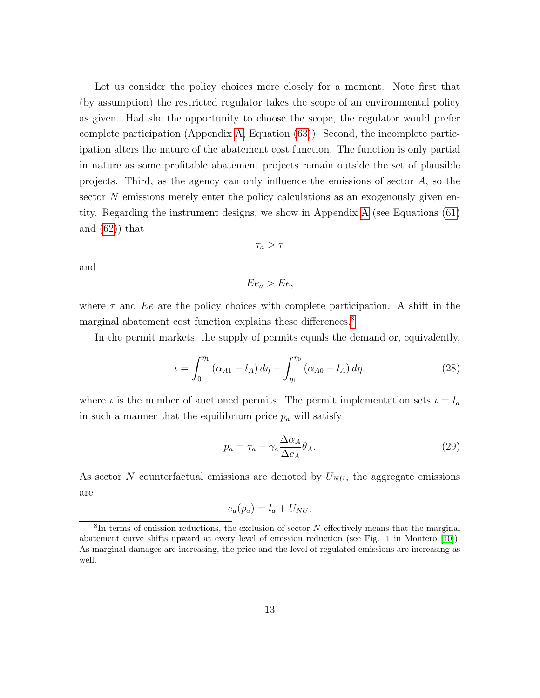Let us consider the policy choices more closely for a moment. Note first that (by assumption) the restricted regulator takes the scope of an environmental policy as given. Had she the opportunity to choose the scope, the regulator would prefer complete participation (Appendix [A,](#page-28-2) Equation [\(63\)](#page-31-0)). Second, the incomplete participation alters the nature of the abatement cost function. The function is only partial in nature as some profitable abatement projects remain outside the set of plausible projects. Third, as the agency can only influence the emissions of sector  $A$ , so the sector N emissions merely enter the policy calculations as an exogenously given entity. Regarding the instrument designs, we show in Appendix [A](#page-28-2) (see Equations [\(61\)](#page-30-1) and [\(62\)](#page-30-2)) that

 $\tau_a > \tau$ 

and

$$
E e_a > E e,
$$

where  $\tau$  and Ee are the policy choices with complete participation. A shift in the marginal abatement cost function explains these differences.<sup>[8](#page-13-0)</sup>

In the permit markets, the supply of permits equals the demand or, equivalently,

$$
\iota = \int_0^{\eta_1} (\alpha_{A1} - l_A) d\eta + \int_{\eta_1}^{\eta_0} (\alpha_{A0} - l_A) d\eta, \tag{28}
$$

where  $\iota$  is the number of auctioned permits. The permit implementation sets  $\iota = l_a$ in such a manner that the equilibrium price  $p_a$  will satisfy

$$
p_a = \tau_a - \gamma_a \frac{\Delta \alpha_A}{\Delta c_A} \theta_A.
$$
\n(29)

As sector  $N$  counterfactual emissions are denoted by  $U_{NU}$ , the aggregate emissions are

$$
e_a(p_a) = l_a + U_{NU},
$$

<span id="page-13-0"></span> ${}^{8}$ In terms of emission reductions, the exclusion of sector N effectively means that the marginal abatement curve shifts upward at every level of emission reduction (see Fig. 1 in Montero [\[10\]](#page-26-0)). As marginal damages are increasing, the price and the level of regulated emissions are increasing as well.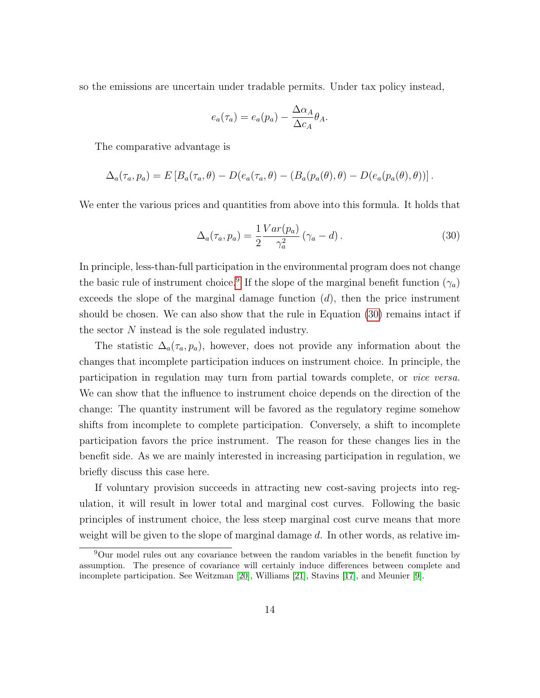so the emissions are uncertain under tradable permits. Under tax policy instead,

$$
e_a(\tau_a) = e_a(p_a) - \frac{\Delta \alpha_A}{\Delta c_A} \theta_A.
$$

The comparative advantage is

$$
\Delta_a(\tau_a, p_a) = E\left[B_a(\tau_a, \theta) - D(e_a(\tau_a, \theta) - (B_a(p_a(\theta), \theta) - D(e_a(p_a(\theta), \theta))\right].
$$

We enter the various prices and quantities from above into this formula. It holds that

<span id="page-14-1"></span>
$$
\Delta_a(\tau_a, p_a) = \frac{1}{2} \frac{Var(p_a)}{\gamma_a^2} (\gamma_a - d). \tag{30}
$$

In principle, less-than-full participation in the environmental program does not change the basic rule of instrument choice.<sup>[9](#page-14-0)</sup> If the slope of the marginal benefit function  $(\gamma_a)$ exceeds the slope of the marginal damage function  $(d)$ , then the price instrument should be chosen. We can also show that the rule in Equation [\(30\)](#page-14-1) remains intact if the sector N instead is the sole regulated industry.

The statistic  $\Delta_a(\tau_a, p_a)$ , however, does not provide any information about the changes that incomplete participation induces on instrument choice. In principle, the participation in regulation may turn from partial towards complete, or vice versa. We can show that the influence to instrument choice depends on the direction of the change: The quantity instrument will be favored as the regulatory regime somehow shifts from incomplete to complete participation. Conversely, a shift to incomplete participation favors the price instrument. The reason for these changes lies in the benefit side. As we are mainly interested in increasing participation in regulation, we briefly discuss this case here.

If voluntary provision succeeds in attracting new cost-saving projects into regulation, it will result in lower total and marginal cost curves. Following the basic principles of instrument choice, the less steep marginal cost curve means that more weight will be given to the slope of marginal damage  $d$ . In other words, as relative im-

<span id="page-14-0"></span><sup>9</sup>Our model rules out any covariance between the random variables in the benefit function by assumption. The presence of covariance will certainly induce differences between complete and incomplete participation. See Weitzman [\[20\]](#page-27-0), Williams [\[21\]](#page-27-1), Stavins [\[17\]](#page-26-10), and Meunier [\[9\]](#page-26-4).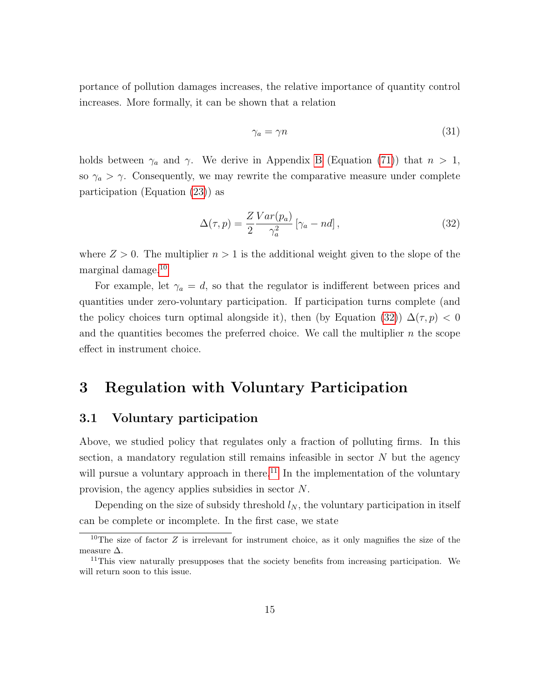portance of pollution damages increases, the relative importance of quantity control increases. More formally, it can be shown that a relation

<span id="page-15-4"></span>
$$
\gamma_a = \gamma n \tag{31}
$$

holds between  $\gamma_a$  and  $\gamma$ . We derive in Appendix [B](#page-34-0) (Equation [\(71\)](#page-34-1)) that  $n > 1$ , so  $\gamma_a > \gamma$ . Consequently, we may rewrite the comparative measure under complete participation (Equation [\(23\)](#page-11-1)) as

<span id="page-15-1"></span>
$$
\Delta(\tau, p) = \frac{Z}{2} \frac{Var(p_a)}{\gamma_a^2} [\gamma_a - nd], \qquad (32)
$$

where  $Z > 0$ . The multiplier  $n > 1$  is the additional weight given to the slope of the marginal damage.<sup>[10](#page-15-0)</sup>

For example, let  $\gamma_a = d$ , so that the regulator is indifferent between prices and quantities under zero-voluntary participation. If participation turns complete (and the policy choices turn optimal alongside it), then (by Equation [\(32\)](#page-15-1))  $\Delta(\tau, p) < 0$ and the quantities becomes the preferred choice. We call the multiplier  $n$  the scope effect in instrument choice.

### 3 Regulation with Voluntary Participation

#### 3.1 Voluntary participation

Above, we studied policy that regulates only a fraction of polluting firms. In this section, a mandatory regulation still remains infeasible in sector  $N$  but the agency will pursue a voluntary approach in there.<sup>[11](#page-15-2)</sup> In the implementation of the voluntary provision, the agency applies subsidies in sector N.

Depending on the size of subsidy threshold  $l_N$ , the voluntary participation in itself can be complete or incomplete. In the first case, we state

<span id="page-15-3"></span><span id="page-15-0"></span><sup>&</sup>lt;sup>10</sup>The size of factor  $Z$  is irrelevant for instrument choice, as it only magnifies the size of the measure  $\Delta$ .

<span id="page-15-2"></span> $11$ This view naturally presupposes that the society benefits from increasing participation. We will return soon to this issue.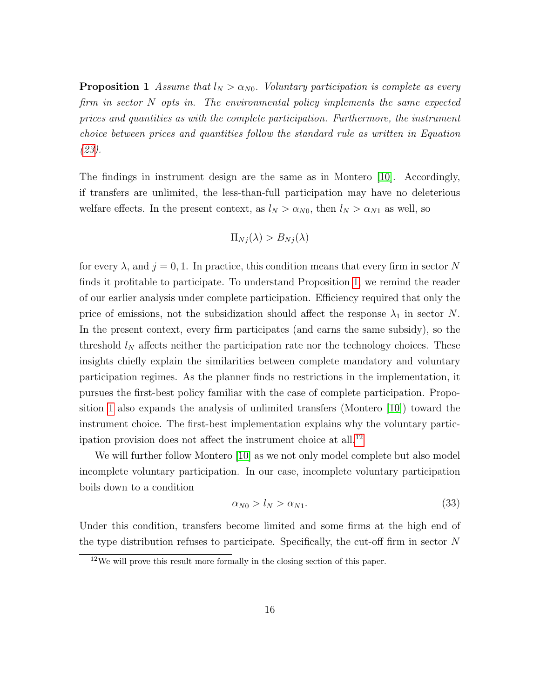**Proposition 1** Assume that  $l_N > \alpha_{N0}$ . Voluntary participation is complete as every firm in sector N opts in. The environmental policy implements the same expected prices and quantities as with the complete participation. Furthermore, the instrument choice between prices and quantities follow the standard rule as written in Equation [\(23\)](#page-11-1).

The findings in instrument design are the same as in Montero [\[10\]](#page-26-0). Accordingly, if transfers are unlimited, the less-than-full participation may have no deleterious welfare effects. In the present context, as  $l_N > \alpha_{N0}$ , then  $l_N > \alpha_{N1}$  as well, so

$$
\Pi_{Nj}(\lambda) > B_{Nj}(\lambda)
$$

for every  $\lambda$ , and  $j = 0, 1$ . In practice, this condition means that every firm in sector N finds it profitable to participate. To understand Proposition [1,](#page-15-3) we remind the reader of our earlier analysis under complete participation. Efficiency required that only the price of emissions, not the subsidization should affect the response  $\lambda_1$  in sector N. In the present context, every firm participates (and earns the same subsidy), so the threshold  $l_N$  affects neither the participation rate nor the technology choices. These insights chiefly explain the similarities between complete mandatory and voluntary participation regimes. As the planner finds no restrictions in the implementation, it pursues the first-best policy familiar with the case of complete participation. Proposition [1](#page-15-3) also expands the analysis of unlimited transfers (Montero [\[10\]](#page-26-0)) toward the instrument choice. The first-best implementation explains why the voluntary partic-ipation provision does not affect the instrument choice at all.<sup>[12](#page-16-0)</sup>

We will further follow Montero [\[10\]](#page-26-0) as we not only model complete but also model incomplete voluntary participation. In our case, incomplete voluntary participation boils down to a condition

<span id="page-16-1"></span>
$$
\alpha_{N0} > l_N > \alpha_{N1}.\tag{33}
$$

Under this condition, transfers become limited and some firms at the high end of the type distribution refuses to participate. Specifically, the cut-off firm in sector  $N$ 

<span id="page-16-0"></span><sup>12</sup>We will prove this result more formally in the closing section of this paper.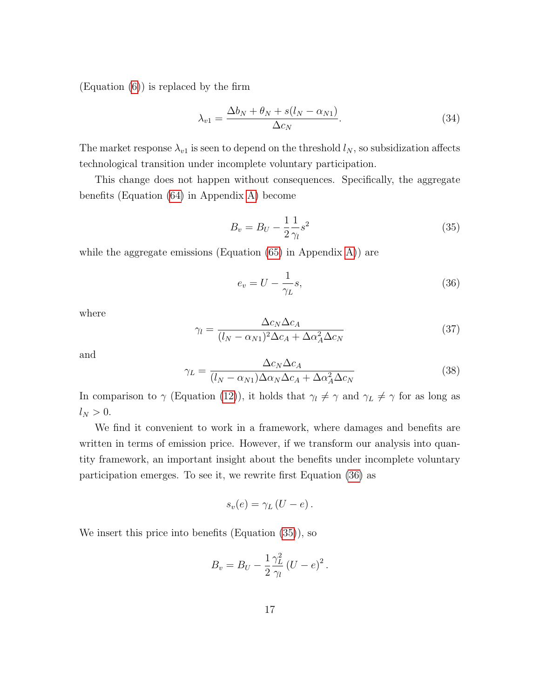(Equation [\(6\)](#page-7-2)) is replaced by the firm

<span id="page-17-4"></span>
$$
\lambda_{v1} = \frac{\Delta b_N + \theta_N + s(l_N - \alpha_{N1})}{\Delta c_N}.
$$
\n(34)

The market response  $\lambda_{v1}$  is seen to depend on the threshold  $l_N$ , so subsidization affects technological transition under incomplete voluntary participation.

This change does not happen without consequences. Specifically, the aggregate benefits (Equation [\(64\)](#page-31-1) in Appendix [A\)](#page-28-2) become

<span id="page-17-1"></span>
$$
B_v = B_U - \frac{1}{2} \frac{1}{\gamma_l} s^2
$$
\n(35)

while the aggregate emissions (Equation [\(65\)](#page-31-2) in Appendix [A\)](#page-28-2)) are

<span id="page-17-0"></span>
$$
e_v = U - \frac{1}{\gamma_L} s,\tag{36}
$$

where

<span id="page-17-2"></span>
$$
\gamma_l = \frac{\Delta c_N \Delta c_A}{(l_N - \alpha_{N1})^2 \Delta c_A + \Delta \alpha_A^2 \Delta c_N} \tag{37}
$$

and

<span id="page-17-3"></span>
$$
\gamma_L = \frac{\Delta c_N \Delta c_A}{(l_N - \alpha_{N1}) \Delta \alpha_N \Delta c_A + \Delta \alpha_A^2 \Delta c_N}
$$
(38)

In comparison to  $\gamma$  (Equation [\(12\)](#page-8-2)), it holds that  $\gamma_l \neq \gamma$  and  $\gamma_L \neq \gamma$  for as long as  $l_N > 0$ .

We find it convenient to work in a framework, where damages and benefits are written in terms of emission price. However, if we transform our analysis into quantity framework, an important insight about the benefits under incomplete voluntary participation emerges. To see it, we rewrite first Equation [\(36\)](#page-17-0) as

$$
s_v(e) = \gamma_L (U - e).
$$

We insert this price into benefits (Equation [\(35\)](#page-17-1)), so

$$
B_v = B_U - \frac{1}{2} \frac{\gamma_L^2}{\gamma_l} (U - e)^2.
$$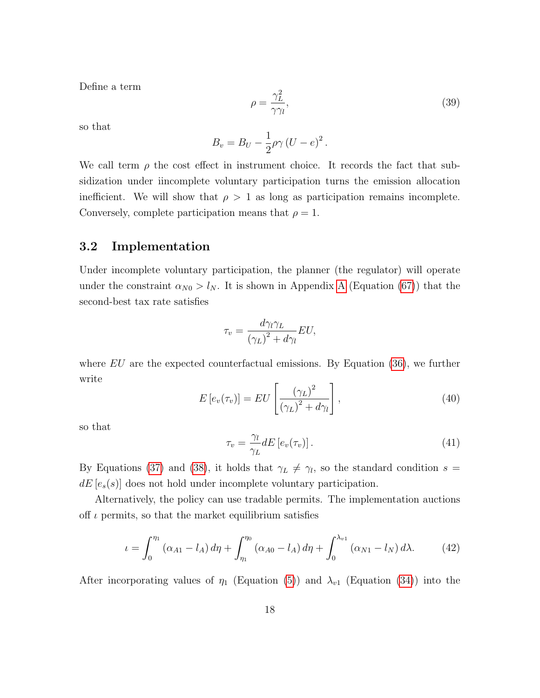Define a term

<span id="page-18-1"></span>
$$
\rho = \frac{\gamma_L^2}{\gamma \gamma_l},\tag{39}
$$

so that

$$
B_v = B_U - \frac{1}{2}\rho\gamma (U - e)^2.
$$

We call term  $\rho$  the cost effect in instrument choice. It records the fact that subsidization under iincomplete voluntary participation turns the emission allocation inefficient. We will show that  $\rho > 1$  as long as participation remains incomplete. Conversely, complete participation means that  $\rho = 1$ .

#### 3.2 Implementation

Under incomplete voluntary participation, the planner (the regulator) will operate under the constraint  $\alpha_{N0} > l_N$ . It is shown in [A](#page-28-2)ppendix A (Equation [\(67\)](#page-31-3)) that the second-best tax rate satisfies

$$
\tau_v = \frac{d\gamma_l \gamma_L}{\left(\gamma_L\right)^2 + d\gamma_l} EU,
$$

where  $EU$  are the expected counterfactual emissions. By Equation [\(36\)](#page-17-0), we further write

$$
E\left[e_v(\tau_v)\right] = EU\left[\frac{(\gamma_L)^2}{(\gamma_L)^2 + d\gamma_l}\right],\tag{40}
$$

so that

<span id="page-18-0"></span>
$$
\tau_v = \frac{\gamma_l}{\gamma_L} dE \left[ e_v(\tau_v) \right]. \tag{41}
$$

By Equations [\(37\)](#page-17-2) and [\(38\)](#page-17-3), it holds that  $\gamma_L \neq \gamma_l$ , so the standard condition s =  $dE [e<sub>s</sub>(s)]$  does not hold under incomplete voluntary participation.

Alternatively, the policy can use tradable permits. The implementation auctions off  $\iota$  permits, so that the market equilibrium satisfies

<span id="page-18-2"></span>
$$
\iota = \int_0^{\eta_1} (\alpha_{A1} - l_A) d\eta + \int_{\eta_1}^{\eta_0} (\alpha_{A0} - l_A) d\eta + \int_0^{\lambda_{v1}} (\alpha_{N1} - l_N) d\lambda.
$$
 (42)

After incorporating values of  $\eta_1$  (Equation [\(5\)](#page-7-1)) and  $\lambda_{v1}$  (Equation [\(34\)](#page-17-4)) into the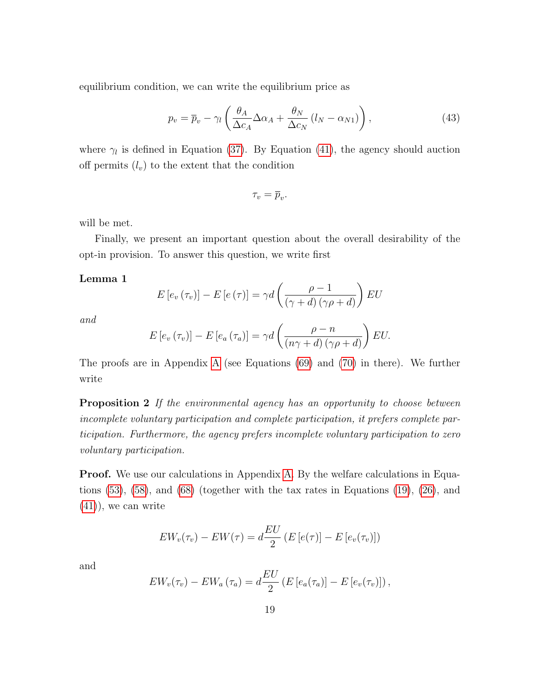equilibrium condition, we can write the equilibrium price as

<span id="page-19-2"></span>
$$
p_v = \overline{p}_v - \gamma_l \left( \frac{\theta_A}{\Delta c_A} \Delta \alpha_A + \frac{\theta_N}{\Delta c_N} \left( l_N - \alpha_{N1} \right) \right),\tag{43}
$$

where  $\gamma_l$  is defined in Equation [\(37\)](#page-17-2). By Equation [\(41\)](#page-18-0), the agency should auction off permits  $(l_v)$  to the extent that the condition

<span id="page-19-0"></span>
$$
\tau_v=\overline{p}_v.
$$

will be met.

Finally, we present an important question about the overall desirability of the opt-in provision. To answer this question, we write first

#### Lemma 1

$$
E\left[e_v\left(\tau_v\right)\right] - E\left[e\left(\tau\right)\right] = \gamma d\left(\frac{\rho - 1}{\left(\gamma + d\right)\left(\gamma \rho + d\right)}\right)EU
$$

and

$$
E\left[e_v\left(\tau_v\right)\right] - E\left[e_a\left(\tau_a\right)\right] = \gamma d\left(\frac{\rho - n}{\left(n\gamma + d\right)\left(\gamma \rho + d\right)}\right) EU.
$$

<span id="page-19-1"></span>The proofs are in Appendix [A](#page-28-2) (see Equations [\(69\)](#page-32-0) and [\(70\)](#page-33-0) in there). We further write

**Proposition 2** If the environmental agency has an opportunity to choose between incomplete voluntary participation and complete participation, it prefers complete participation. Furthermore, the agency prefers incomplete voluntary participation to zero voluntary participation.

**Proof.** We use our calculations in Appendix [A.](#page-28-2) By the welfare calculations in Equations  $(53)$ ,  $(58)$ , and  $(68)$  (together with the tax rates in Equations  $(19)$ ,  $(26)$ , and  $(41)$ , we can write

$$
EW_v(\tau_v) - EW(\tau) = d \frac{EU}{2} \left( E\left[e(\tau)\right] - E\left[e_v(\tau_v)\right] \right)
$$

and

$$
EW_v(\tau_v) - EW_a(\tau_a) = d\frac{EU}{2} \left( E\left[e_a(\tau_a)\right] - E\left[e_v(\tau_v)\right] \right),
$$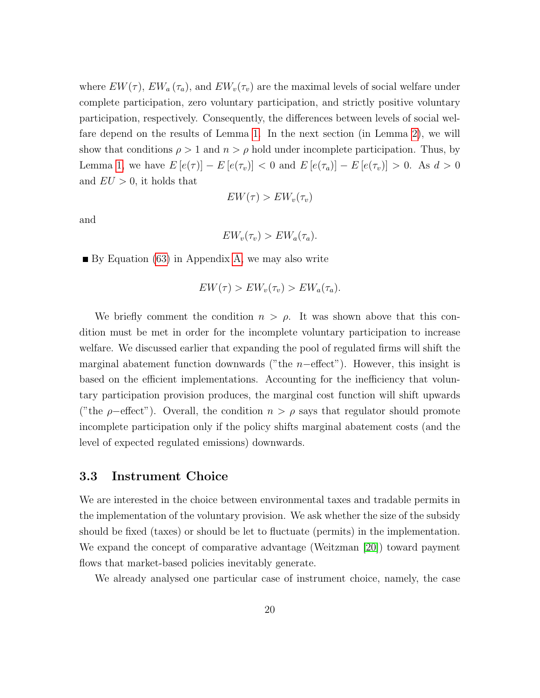where  $EW(\tau)$ ,  $EW_a(\tau_a)$ , and  $EW_v(\tau_v)$  are the maximal levels of social welfare under complete participation, zero voluntary participation, and strictly positive voluntary participation, respectively. Consequently, the differences between levels of social welfare depend on the results of Lemma [1.](#page-19-0) In the next section (in Lemma [2\)](#page-22-0), we will show that conditions  $\rho > 1$  and  $n > \rho$  hold under incomplete participation. Thus, by Lemma [1,](#page-19-0) we have  $E[e(\tau)] - E[e(\tau_v)] < 0$  and  $E[e(\tau_a)] - E[e(\tau_v)] > 0$ . As  $d > 0$ and  $EU > 0$ , it holds that

$$
EW(\tau) > EW_v(\tau_v)
$$

and

$$
EW_v(\tau_v) > EW_a(\tau_a).
$$

 $\blacksquare$  By Equation [\(63\)](#page-31-0) in Appendix [A,](#page-28-2) we may also write

$$
EW(\tau) > EW_v(\tau_v) > EW_a(\tau_a).
$$

We briefly comment the condition  $n > \rho$ . It was shown above that this condition must be met in order for the incomplete voluntary participation to increase welfare. We discussed earlier that expanding the pool of regulated firms will shift the marginal abatement function downwards ("the  $n$ –effect"). However, this insight is based on the efficient implementations. Accounting for the inefficiency that voluntary participation provision produces, the marginal cost function will shift upwards ("the  $\rho$ -effect"). Overall, the condition  $n > \rho$  says that regulator should promote incomplete participation only if the policy shifts marginal abatement costs (and the level of expected regulated emissions) downwards.

#### 3.3 Instrument Choice

We are interested in the choice between environmental taxes and tradable permits in the implementation of the voluntary provision. We ask whether the size of the subsidy should be fixed (taxes) or should be let to fluctuate (permits) in the implementation. We expand the concept of comparative advantage (Weitzman [\[20\]](#page-27-0)) toward payment flows that market-based policies inevitably generate.

We already analysed one particular case of instrument choice, namely, the case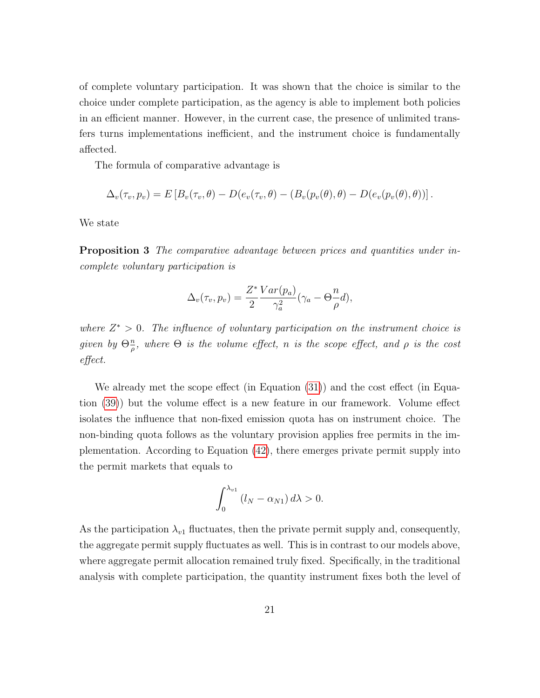of complete voluntary participation. It was shown that the choice is similar to the choice under complete participation, as the agency is able to implement both policies in an efficient manner. However, in the current case, the presence of unlimited transfers turns implementations inefficient, and the instrument choice is fundamentally affected.

The formula of comparative advantage is

$$
\Delta_v(\tau_v, p_v) = E\left[B_v(\tau_v, \theta) - D(e_v(\tau_v, \theta) - (B_v(p_v(\theta), \theta) - D(e_v(p_v(\theta), \theta))\right].
$$

<span id="page-21-0"></span>We state

**Proposition 3** The comparative advantage between prices and quantities under incomplete voluntary participation is

$$
\Delta_v(\tau_v, p_v) = \frac{Z^*}{2} \frac{Var(p_a)}{\gamma_a^2} (\gamma_a - \Theta_{\rho}^n d),
$$

where  $Z^* > 0$ . The influence of voluntary participation on the instrument choice is given by  $\Theta_{\alpha}^{\underline{n}}$  $\frac{n}{\rho}$ , where  $\Theta$  is the volume effect, n is the scope effect, and  $\rho$  is the cost effect.

We already met the scope effect (in Equation  $(31)$ ) and the cost effect (in Equation [\(39\)](#page-18-1)) but the volume effect is a new feature in our framework. Volume effect isolates the influence that non-fixed emission quota has on instrument choice. The non-binding quota follows as the voluntary provision applies free permits in the implementation. According to Equation [\(42\)](#page-18-2), there emerges private permit supply into the permit markets that equals to

$$
\int_0^{\lambda_{v1}} \left( l_N - \alpha_{N1} \right) d\lambda > 0.
$$

As the participation  $\lambda_{v1}$  fluctuates, then the private permit supply and, consequently, the aggregate permit supply fluctuates as well. This is in contrast to our models above, where aggregate permit allocation remained truly fixed. Specifically, in the traditional analysis with complete participation, the quantity instrument fixes both the level of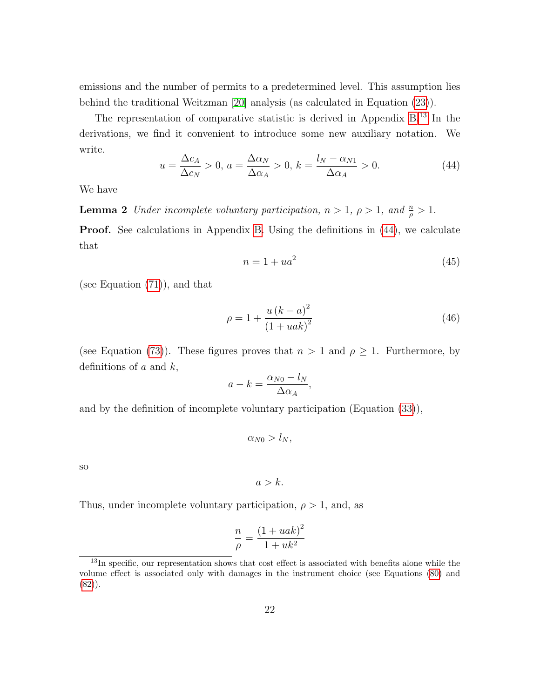emissions and the number of permits to a predetermined level. This assumption lies behind the traditional Weitzman [\[20\]](#page-27-0) analysis (as calculated in Equation [\(23\)](#page-11-1)).

The representation of comparative statistic is derived in Appendix [B.](#page-34-0)[13](#page-22-1) In the derivations, we find it convenient to introduce some new auxiliary notation. We write.

<span id="page-22-2"></span>
$$
u = \frac{\Delta c_A}{\Delta c_N} > 0, \ a = \frac{\Delta \alpha_N}{\Delta \alpha_A} > 0, \ k = \frac{l_N - \alpha_{N1}}{\Delta \alpha_A} > 0. \tag{44}
$$

<span id="page-22-0"></span>We have

**Lemma 2** Under incomplete voluntary participation,  $n > 1$ ,  $\rho > 1$ , and  $\frac{n}{\rho} > 1$ .

Proof. See calculations in Appendix [B.](#page-34-0) Using the definitions in [\(44\)](#page-22-2), we calculate that

$$
n = 1 + ua^2 \tag{45}
$$

(see Equation [\(71\)](#page-34-1)), and that

$$
\rho = 1 + \frac{u (k - a)^2}{(1 + u a k)^2} \tag{46}
$$

(see Equation [\(73\)](#page-34-2)). These figures proves that  $n > 1$  and  $\rho \geq 1$ . Furthermore, by definitions of  $a$  and  $k$ ,

$$
a - k = \frac{\alpha_{N0} - l_N}{\Delta \alpha_A},
$$

and by the definition of incomplete voluntary participation (Equation [\(33\)](#page-16-1)),

$$
\alpha_{N0} > l_N,
$$

so

 $a > k$ .

Thus, under incomplete voluntary participation,  $\rho > 1$ , and, as

$$
\frac{n}{\rho}=\frac{\left(1+uak\right)^{2}}{1+uk^{2}}
$$

<span id="page-22-1"></span><sup>&</sup>lt;sup>13</sup>In specific, our representation shows that cost effect is associated with benefits alone while the volume effect is associated only with damages in the instrument choice (see Equations [\(80\)](#page-35-0) and [\(82\)](#page-36-0)).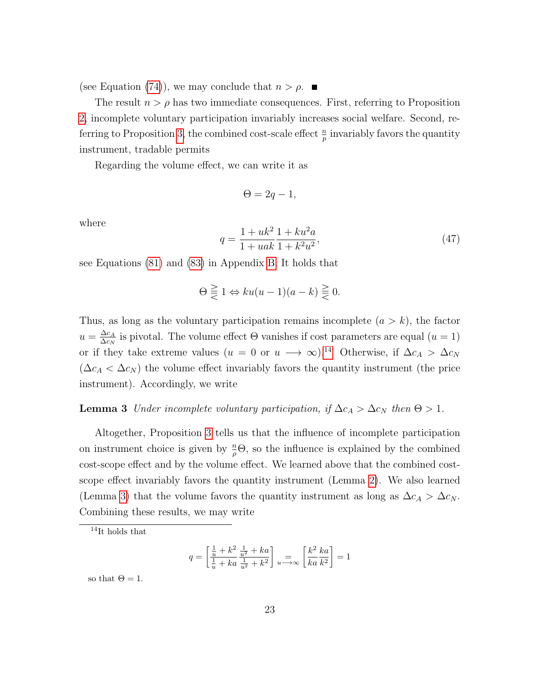(see Equation [\(74\)](#page-34-3)), we may conclude that  $n > \rho$ .

The result  $n > \rho$  has two immediate consequences. First, referring to Proposition [2,](#page-19-1) incomplete voluntary participation invariably increases social welfare. Second, re-ferring to Proposition [3,](#page-21-0) the combined cost-scale effect  $\frac{n}{p}$  invariably favors the quantity instrument, tradable permits

Regarding the volume effect, we can write it as

$$
\Theta = 2q - 1,
$$

where

$$
q = \frac{1 + uk^2}{1 + uak} \frac{1 + ku^2 a}{1 + k^2 u^2},\tag{47}
$$

see Equations [\(81\)](#page-36-1) and [\(83\)](#page-37-0) in Appendix [B.](#page-34-0) It holds that

<span id="page-23-1"></span>
$$
\Theta \gtreqqless 1 \Leftrightarrow ku(u-1)(a-k) \gtreqqless 0.
$$

Thus, as long as the voluntary participation remains incomplete  $(a > k)$ , the factor  $u = \frac{\Delta c_A}{\Delta c_M}$  $\frac{\Delta c_A}{\Delta c_N}$  is pivotal. The volume effect  $\Theta$  vanishes if cost parameters are equal  $(u = 1)$ or if they take extreme values (u = 0 or u  $\rightarrow \infty$ ).<sup>[14](#page-23-0)</sup> Otherwise, if  $\Delta c_A > \Delta c_N$  $(\Delta c_A < \Delta c_N)$  the volume effect invariably favors the quantity instrument (the price instrument). Accordingly, we write

#### **Lemma 3** Under incomplete voluntary participation, if  $\Delta c_A > \Delta c_N$  then  $\Theta > 1$ .

Altogether, Proposition [3](#page-21-0) tells us that the influence of incomplete participation on instrument choice is given by  $\frac{n}{\rho}\Theta$ , so the influence is explained by the combined cost-scope effect and by the volume effect. We learned above that the combined costscope effect invariably favors the quantity instrument (Lemma [2\)](#page-22-0). We also learned (Lemma [3\)](#page-23-1) that the volume favors the quantity instrument as long as  $\Delta c_A > \Delta c_N$ . Combining these results, we may write

$$
q = \left[\frac{\frac{1}{u} + k^2}{\frac{1}{u} + ka} \frac{\frac{1}{u^2} + ka}{\frac{1}{u^2} + k^2}\right] \underset{u \to \infty}{=} \left[\frac{k^2}{ka} \frac{ka}{k^2}\right] = 1
$$

so that  $\Theta = 1$ .

<span id="page-23-0"></span><sup>14</sup>It holds that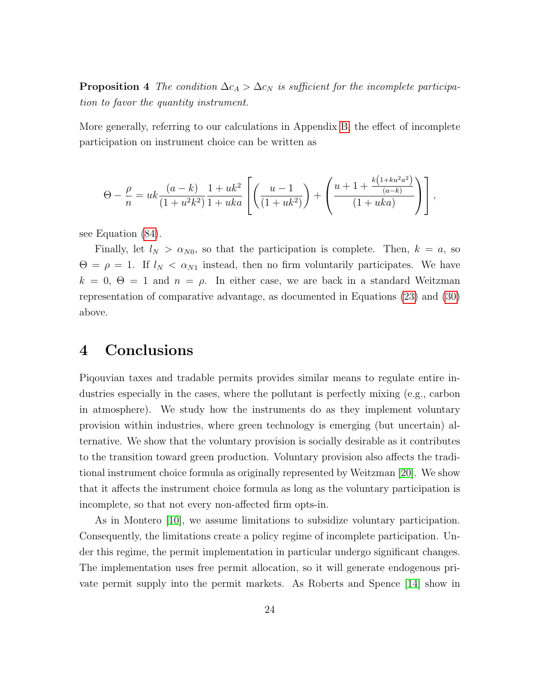**Proposition 4** The condition  $\Delta c_A > \Delta c_N$  is sufficient for the incomplete participation to favor the quantity instrument.

More generally, referring to our calculations in Appendix [B,](#page-34-0) the effect of incomplete participation on instrument choice can be written as

$$
\Theta - \frac{\rho}{n} = uk \frac{(a-k)}{(1+u^2k^2)} \frac{1+uk^2}{1+uka} \left[ \left( \frac{u-1}{(1+uk^2)} \right) + \left( \frac{u+1+\frac{k(1+ku^2a^2)}{(a-k)}}{(1+uka)} \right) \right],
$$

see Equation [\(84\)](#page-38-0).

Finally, let  $l_N > \alpha_{N0}$ , so that the participation is complete. Then,  $k = a$ , so  $\Theta = \rho = 1$ . If  $l_N < \alpha_{N1}$  instead, then no firm voluntarily participates. We have  $k = 0, \Theta = 1$  and  $n = \rho$ . In either case, we are back in a standard Weitzman representation of comparative advantage, as documented in Equations [\(23\)](#page-11-1) and [\(30\)](#page-14-1) above.

### 4 Conclusions

Piqouvian taxes and tradable permits provides similar means to regulate entire industries especially in the cases, where the pollutant is perfectly mixing (e.g., carbon in atmosphere). We study how the instruments do as they implement voluntary provision within industries, where green technology is emerging (but uncertain) alternative. We show that the voluntary provision is socially desirable as it contributes to the transition toward green production. Voluntary provision also affects the traditional instrument choice formula as originally represented by Weitzman [\[20\]](#page-27-0). We show that it affects the instrument choice formula as long as the voluntary participation is incomplete, so that not every non-affected firm opts-in.

As in Montero [\[10\]](#page-26-0), we assume limitations to subsidize voluntary participation. Consequently, the limitations create a policy regime of incomplete participation. Under this regime, the permit implementation in particular undergo significant changes. The implementation uses free permit allocation, so it will generate endogenous private permit supply into the permit markets. As Roberts and Spence [\[14\]](#page-26-7) show in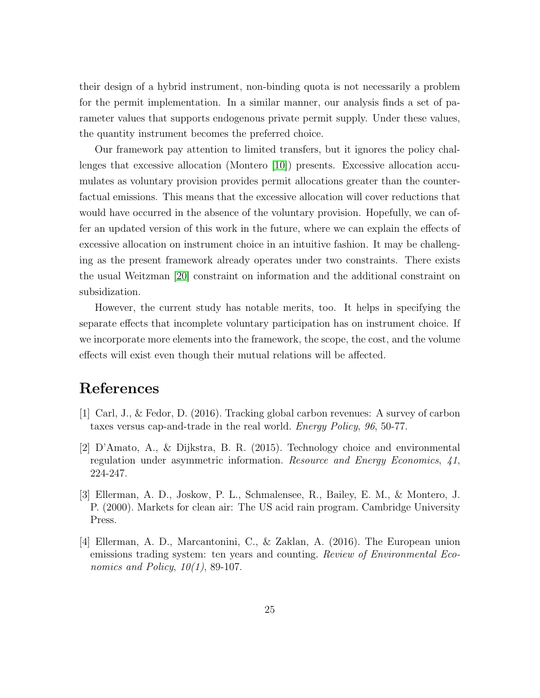their design of a hybrid instrument, non-binding quota is not necessarily a problem for the permit implementation. In a similar manner, our analysis finds a set of parameter values that supports endogenous private permit supply. Under these values, the quantity instrument becomes the preferred choice.

Our framework pay attention to limited transfers, but it ignores the policy challenges that excessive allocation (Montero [\[10\]](#page-26-0)) presents. Excessive allocation accumulates as voluntary provision provides permit allocations greater than the counterfactual emissions. This means that the excessive allocation will cover reductions that would have occurred in the absence of the voluntary provision. Hopefully, we can offer an updated version of this work in the future, where we can explain the effects of excessive allocation on instrument choice in an intuitive fashion. It may be challenging as the present framework already operates under two constraints. There exists the usual Weitzman [\[20\]](#page-27-0) constraint on information and the additional constraint on subsidization.

However, the current study has notable merits, too. It helps in specifying the separate effects that incomplete voluntary participation has on instrument choice. If we incorporate more elements into the framework, the scope, the cost, and the volume effects will exist even though their mutual relations will be affected.

### References

- [1] Carl, J., & Fedor, D. (2016). Tracking global carbon revenues: A survey of carbon taxes versus cap-and-trade in the real world. Energy Policy, 96, 50-77.
- <span id="page-25-2"></span>[2] D'Amato, A., & Dijkstra, B. R. (2015). Technology choice and environmental regulation under asymmetric information. Resource and Energy Economics, 41, 224-247.
- <span id="page-25-0"></span>[3] Ellerman, A. D., Joskow, P. L., Schmalensee, R., Bailey, E. M., & Montero, J. P. (2000). Markets for clean air: The US acid rain program. Cambridge University Press.
- <span id="page-25-1"></span>[4] Ellerman, A. D., Marcantonini, C., & Zaklan, A. (2016). The European union emissions trading system: ten years and counting. Review of Environmental Economics and Policy,  $10(1)$ , 89-107.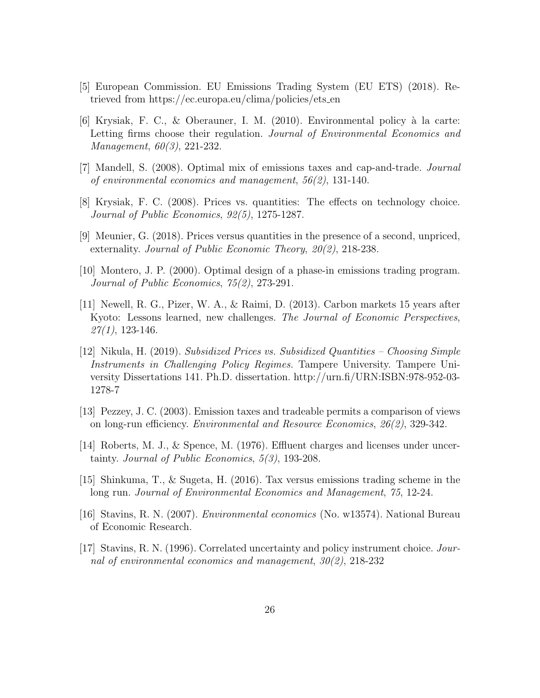- <span id="page-26-2"></span>[5] European Commission. EU Emissions Trading System (EU ETS) (2018). Retrieved from https://ec.europa.eu/clima/policies/ets en
- <span id="page-26-5"></span>[6] Krysiak, F. C., & Oberauner, I. M. (2010). Environmental policy à la carte: Letting firms choose their regulation. Journal of Environmental Economics and Management, 60(3), 221-232.
- <span id="page-26-6"></span>[7] Mandell, S. (2008). Optimal mix of emissions taxes and cap-and-trade. Journal of environmental economics and management, 56(2), 131-140.
- <span id="page-26-8"></span>[8] Krysiak, F. C. (2008). Prices vs. quantities: The effects on technology choice. Journal of Public Economics, 92(5), 1275-1287.
- <span id="page-26-4"></span>[9] Meunier, G. (2018). Prices versus quantities in the presence of a second, unpriced, externality. Journal of Public Economic Theory, 20(2), 218-238.
- <span id="page-26-0"></span>[10] Montero, J. P. (2000). Optimal design of a phase-in emissions trading program. Journal of Public Economics, 75(2), 273-291.
- <span id="page-26-3"></span>[11] Newell, R. G., Pizer, W. A., & Raimi, D. (2013). Carbon markets 15 years after Kyoto: Lessons learned, new challenges. The Journal of Economic Perspectives,  $27(1)$ , 123-146.
- <span id="page-26-1"></span>[12] Nikula, H. (2019). Subsidized Prices vs. Subsidized Quantities – Choosing Simple Instruments in Challenging Policy Regimes. Tampere University. Tampere University Dissertations 141. Ph.D. dissertation. http://urn.fi/URN:ISBN:978-952-03- 1278-7
- [13] Pezzey, J. C. (2003). Emission taxes and tradeable permits a comparison of views on long-run efficiency. Environmental and Resource Economics, 26(2), 329-342.
- <span id="page-26-7"></span>[14] Roberts, M. J., & Spence, M. (1976). Effluent charges and licenses under uncertainty. Journal of Public Economics, 5(3), 193-208.
- <span id="page-26-9"></span>[15] Shinkuma, T., & Sugeta, H. (2016). Tax versus emissions trading scheme in the long run. Journal of Environmental Economics and Management, 75, 12-24.
- [16] Stavins, R. N. (2007). Environmental economics (No. w13574). National Bureau of Economic Research.
- <span id="page-26-10"></span>[17] Stavins, R. N. (1996). Correlated uncertainty and policy instrument choice. Journal of environmental economics and management, 30(2), 218-232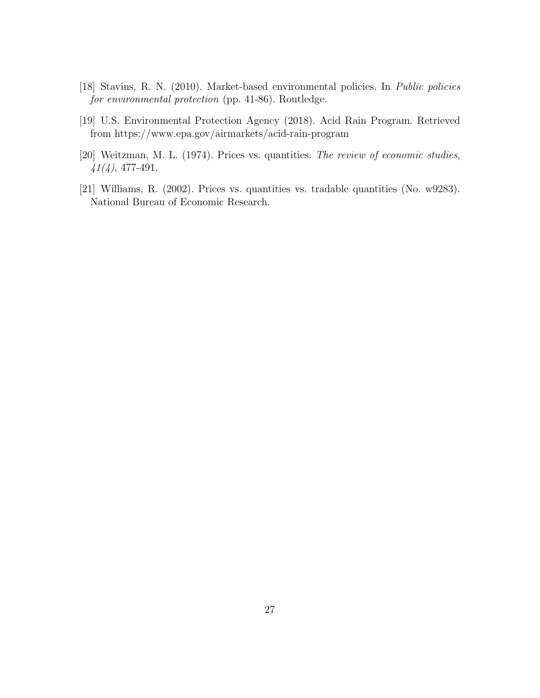- [18] Stavins, R. N. (2010). Market-based environmental policies. In Public policies for environmental protection (pp. 41-86). Routledge.
- [19] U.S. Environmental Protection Agency (2018). Acid Rain Program. Retrieved from https://www.epa.gov/airmarkets/acid-rain-program
- <span id="page-27-0"></span>[20] Weitzman, M. L. (1974). Prices vs. quantities. The review of economic studies,  $41(4)$ , 477-491.
- <span id="page-27-1"></span>[21] Williams, R. (2002). Prices vs. quantities vs. tradable quantities (No. w9283). National Bureau of Economic Research.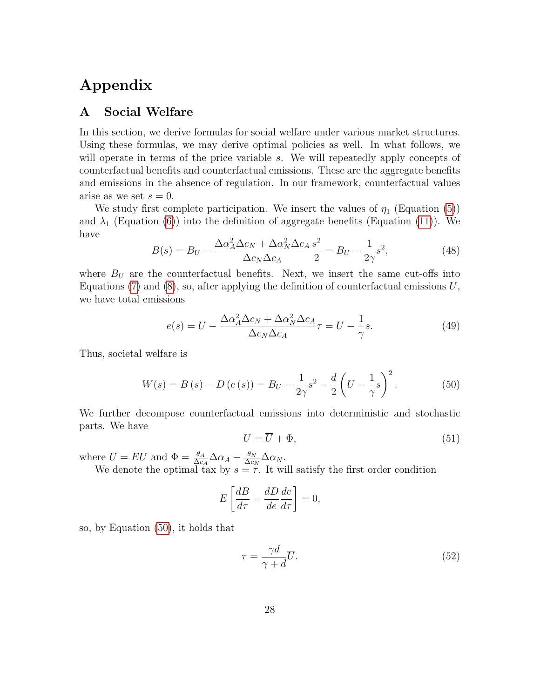## Appendix

#### <span id="page-28-2"></span>A Social Welfare

In this section, we derive formulas for social welfare under various market structures. Using these formulas, we may derive optimal policies as well. In what follows, we will operate in terms of the price variable s. We will repeatedly apply concepts of counterfactual benefits and counterfactual emissions. These are the aggregate benefits and emissions in the absence of regulation. In our framework, counterfactual values arise as we set  $s = 0$ .

We study first complete participation. We insert the values of  $\eta_1$  (Equation [\(5\)](#page-7-1)) and  $\lambda_1$  (Equation [\(6\)](#page-7-2)) into the definition of aggregate benefits (Equation [\(11\)](#page-8-3)). We have

<span id="page-28-0"></span>
$$
B(s) = B_U - \frac{\Delta \alpha_A^2 \Delta c_N + \Delta \alpha_N^2 \Delta c_A s^2}{\Delta c_N \Delta c_A} = B_U - \frac{1}{2\gamma} s^2,
$$
\n(48)

where  $B_U$  are the counterfactual benefits. Next, we insert the same cut-offs into Equations  $(7)$  and  $(8)$ , so, after applying the definition of counterfactual emissions U, we have total emissions

<span id="page-28-1"></span>
$$
e(s) = U - \frac{\Delta \alpha_A^2 \Delta c_N + \Delta \alpha_N^2 \Delta c_A}{\Delta c_N \Delta c_A} \tau = U - \frac{1}{\gamma} s. \tag{49}
$$

Thus, societal welfare is

<span id="page-28-3"></span>
$$
W(s) = B(s) - D(e(s)) = B_U - \frac{1}{2\gamma}s^2 - \frac{d}{2}\left(U - \frac{1}{\gamma}s\right)^2.
$$
 (50)

We further decompose counterfactual emissions into deterministic and stochastic parts. We have

<span id="page-28-5"></span>
$$
U = \overline{U} + \Phi,\tag{51}
$$

where  $\overline{U} = EU$  and  $\Phi = \frac{\theta_A}{\Delta c_A} \Delta \alpha_A - \frac{\theta_N}{\Delta c_I}$  $\frac{\theta_N}{\Delta c_N} \Delta \alpha_N$ .

We denote the optimal tax by  $s = \tau$ . It will satisfy the first order condition

$$
E\left[\frac{dB}{d\tau} - \frac{dD}{de}\frac{de}{d\tau}\right] = 0,
$$

so, by Equation [\(50\)](#page-28-3), it holds that

<span id="page-28-4"></span>
$$
\tau = \frac{\gamma d}{\gamma + d} \overline{U}.\tag{52}
$$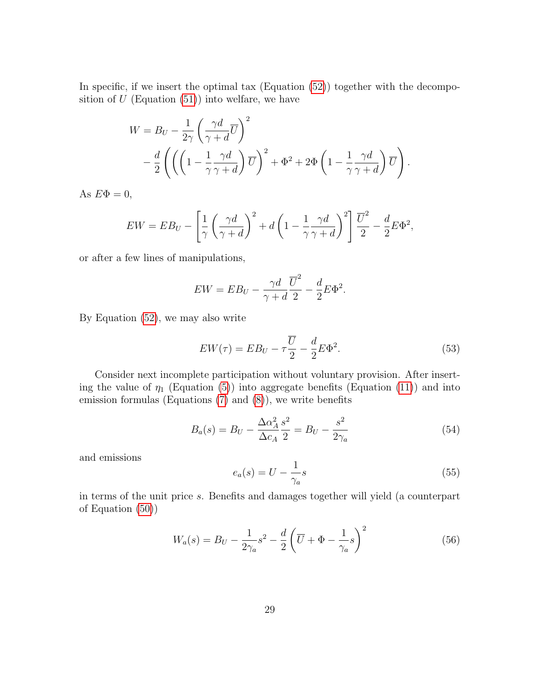In specific, if we insert the optimal tax (Equation  $(52)$ ) together with the decomposition of  $U$  (Equation [\(51\)](#page-28-5)) into welfare, we have

$$
W = B_U - \frac{1}{2\gamma} \left(\frac{\gamma d}{\gamma + d} \overline{U}\right)^2
$$
  
- 
$$
\frac{d}{2} \left(\left(\left(1 - \frac{1}{\gamma} \frac{\gamma d}{\gamma + d}\right) \overline{U}\right)^2 + \Phi^2 + 2\Phi \left(1 - \frac{1}{\gamma} \frac{\gamma d}{\gamma + d}\right) \overline{U}\right).
$$

As  $E\Phi = 0$ ,

$$
EW = EB_U - \left[\frac{1}{\gamma} \left(\frac{\gamma d}{\gamma + d}\right)^2 + d\left(1 - \frac{1}{\gamma} \frac{\gamma d}{\gamma + d}\right)^2\right] \frac{\overline{U}^2}{2} - \frac{d}{2} E \Phi^2,
$$

or after a few lines of manipulations,

$$
EW = EB_U - \frac{\gamma d}{\gamma + d} \frac{\overline{U}^2}{2} - \frac{d}{2} E \Phi^2.
$$

By Equation [\(52\)](#page-28-4), we may also write

<span id="page-29-2"></span>
$$
EW(\tau) = EB_U - \tau \frac{\overline{U}}{2} - \frac{d}{2}E\Phi^2.
$$
\n(53)

Consider next incomplete participation without voluntary provision. After inserting the value of  $\eta_1$  (Equation [\(5\)](#page-7-1)) into aggregate benefits (Equation [\(11\)](#page-8-3)) and into emission formulas (Equations [\(7\)](#page-7-3) and [\(8\)](#page-7-4)), we write benefits

<span id="page-29-0"></span>
$$
B_a(s) = B_U - \frac{\Delta \alpha_A^2}{\Delta c_A} \frac{s^2}{2} = B_U - \frac{s^2}{2\gamma_a}
$$
 (54)

and emissions

<span id="page-29-1"></span>
$$
e_a(s) = U - \frac{1}{\gamma_a} s \tag{55}
$$

in terms of the unit price s. Benefits and damages together will yield (a counterpart of Equation [\(50\)](#page-28-3))

<span id="page-29-3"></span>
$$
W_a(s) = B_U - \frac{1}{2\gamma_a} s^2 - \frac{d}{2} \left( \overline{U} + \Phi - \frac{1}{\gamma_a} s \right)^2
$$
 (56)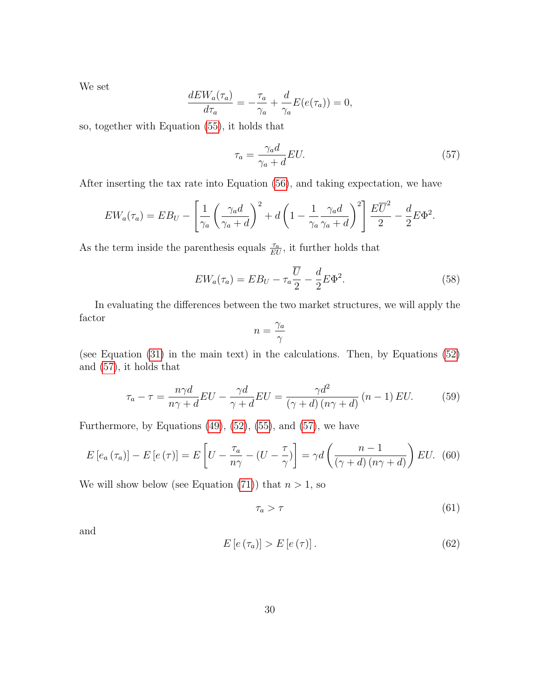We set

$$
\frac{dEW_a(\tau_a)}{d\tau_a} = -\frac{\tau_a}{\gamma_a} + \frac{d}{\gamma_a}E(e(\tau_a)) = 0,
$$

so, together with Equation [\(55\)](#page-29-1), it holds that

<span id="page-30-0"></span>
$$
\tau_a = \frac{\gamma_a d}{\gamma_a + d} EU. \tag{57}
$$

After inserting the tax rate into Equation [\(56\)](#page-29-3), and taking expectation, we have

$$
EW_a(\tau_a) = EB_U - \left[\frac{1}{\gamma_a} \left(\frac{\gamma_a d}{\gamma_a + d}\right)^2 + d\left(1 - \frac{1}{\gamma_a} \frac{\gamma_a d}{\gamma_a + d}\right)^2\right] \frac{E\overline{U}^2}{2} - \frac{d}{2}E\Phi^2.
$$

As the term inside the parenthesis equals  $\frac{\tau_a}{EU}$ , it further holds that

<span id="page-30-3"></span>
$$
EW_a(\tau_a) = EB_U - \tau_a \frac{\overline{U}}{2} - \frac{d}{2}E\Phi^2.
$$
\n(58)

In evaluating the differences between the two market structures, we will apply the factor

$$
n=\frac{\gamma_a}{\gamma}
$$

(see Equation [\(31\)](#page-15-4) in the main text) in the calculations. Then, by Equations [\(52\)](#page-28-4) and [\(57\)](#page-30-0), it holds that

$$
\tau_a - \tau = \frac{n\gamma d}{n\gamma + d} EU - \frac{\gamma d}{\gamma + d} EU = \frac{\gamma d^2}{(\gamma + d)(n\gamma + d)} (n - 1) EU. \tag{59}
$$

Furthermore, by Equations  $(49)$ ,  $(52)$ ,  $(55)$ , and  $(57)$ , we have

$$
E\left[e_a\left(\tau_a\right)\right] - E\left[e\left(\tau\right)\right] = E\left[U - \frac{\tau_a}{n\gamma} - \left(U - \frac{\tau}{\gamma}\right)\right] = \gamma d\left(\frac{n-1}{\left(\gamma + d\right)\left(n\gamma + d\right)}\right)EU. \tag{60}
$$

We will show below (see Equation [\(71\)](#page-34-1)) that  $n > 1$ , so

<span id="page-30-1"></span>
$$
\tau_a > \tau \tag{61}
$$

and

<span id="page-30-2"></span>
$$
E\left[e\left(\tau_a\right)\right] > E\left[e\left(\tau\right)\right].\tag{62}
$$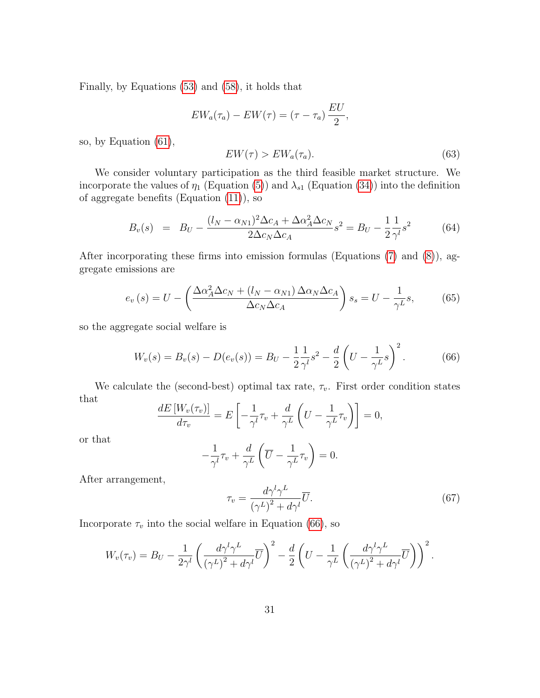Finally, by Equations [\(53\)](#page-29-2) and [\(58\)](#page-30-3), it holds that

$$
EW_a(\tau_a) - EW(\tau) = (\tau - \tau_a) \frac{EU}{2},
$$

so, by Equation [\(61\)](#page-30-1),

<span id="page-31-0"></span>
$$
EW(\tau) > EW_a(\tau_a). \tag{63}
$$

We consider voluntary participation as the third feasible market structure. We incorporate the values of  $\eta_1$  (Equation [\(5\)](#page-7-1)) and  $\lambda_{s1}$  (Equation [\(34\)](#page-17-4)) into the definition of aggregate benefits (Equation [\(11\)](#page-8-3)), so

<span id="page-31-1"></span>
$$
B_v(s) = B_U - \frac{(l_N - \alpha_{N1})^2 \Delta c_A + \Delta \alpha_A^2 \Delta c_N}{2 \Delta c_N \Delta c_A} s^2 = B_U - \frac{1}{2} \frac{1}{\gamma^l} s^2 \tag{64}
$$

After incorporating these firms into emission formulas (Equations [\(7\)](#page-7-3) and [\(8\)](#page-7-4)), aggregate emissions are

<span id="page-31-2"></span>
$$
e_v(s) = U - \left(\frac{\Delta \alpha_A^2 \Delta c_N + (l_N - \alpha_{N1}) \Delta \alpha_N \Delta c_A}{\Delta c_N \Delta c_A}\right) s_s = U - \frac{1}{\gamma^L} s,\tag{65}
$$

so the aggregate social welfare is

<span id="page-31-4"></span>
$$
W_v(s) = B_v(s) - D(e_v(s)) = B_U - \frac{1}{2} \frac{1}{\gamma^l} s^2 - \frac{d}{2} \left( U - \frac{1}{\gamma^L} s \right)^2.
$$
 (66)

We calculate the (second-best) optimal tax rate,  $\tau_v$ . First order condition states that

$$
\frac{dE\left[W_v(\tau_v)\right]}{d\tau_v} = E\left[-\frac{1}{\gamma l}\tau_v + \frac{d}{\gamma L}\left(U - \frac{1}{\gamma L}\tau_v\right)\right] = 0,
$$

or that

$$
-\frac{1}{\gamma^l}\tau_v + \frac{d}{\gamma^L} \left( \overline{U} - \frac{1}{\gamma^L} \tau_v \right) = 0.
$$

After arrangement,

<span id="page-31-3"></span>
$$
\tau_v = \frac{d\gamma^l \gamma^L}{\left(\gamma^L\right)^2 + d\gamma^l} \overline{U}.\tag{67}
$$

Incorporate  $\tau_v$  into the social welfare in Equation [\(66\)](#page-31-4), so

$$
W_v(\tau_v) = B_U - \frac{1}{2\gamma^l} \left( \frac{d\gamma^l \gamma^L}{(\gamma^L)^2 + d\gamma^l} \overline{U} \right)^2 - \frac{d}{2} \left( U - \frac{1}{\gamma^L} \left( \frac{d\gamma^l \gamma^L}{(\gamma^L)^2 + d\gamma^l} \overline{U} \right) \right)^2.
$$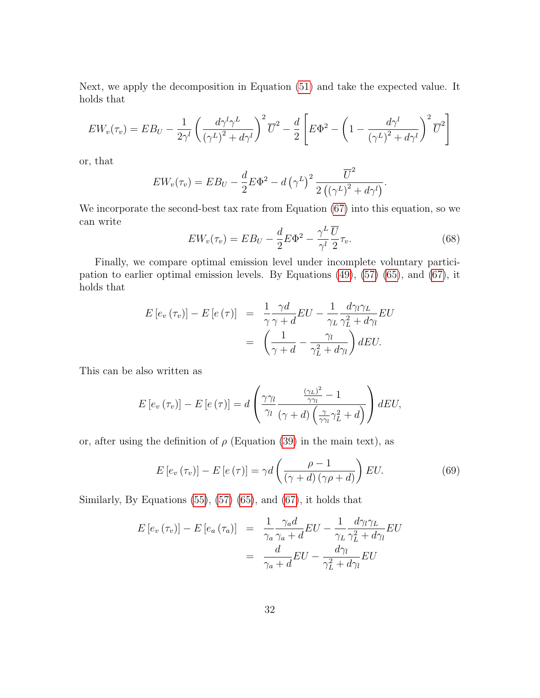Next, we apply the decomposition in Equation [\(51\)](#page-28-5) and take the expected value. It holds that

$$
EW_v(\tau_v) = EB_U - \frac{1}{2\gamma^l} \left( \frac{d\gamma^l \gamma^L}{(\gamma^L)^2 + d\gamma^l} \right)^2 \overline{U}^2 - \frac{d}{2} \left[ E\Phi^2 - \left( 1 - \frac{d\gamma^l}{(\gamma^L)^2 + d\gamma^l} \right)^2 \overline{U}^2 \right]
$$

or, that

$$
EW_v(\tau_v) = EB_U - \frac{d}{2}E\Phi^2 - d(\gamma^L)^2 \frac{\overline{U}^2}{2((\gamma^L)^2 + d\gamma^L)}.
$$

We incorporate the second-best tax rate from Equation [\(67\)](#page-31-3) into this equation, so we can write

<span id="page-32-1"></span>
$$
EW_v(\tau_v) = EB_U - \frac{d}{2}E\Phi^2 - \frac{\gamma^L}{\gamma^l} \frac{\overline{U}}{2} \tau_v.
$$
 (68)

Finally, we compare optimal emission level under incomplete voluntary participation to earlier optimal emission levels. By Equations [\(49\)](#page-28-1), [\(57\)](#page-30-0) [\(65\)](#page-31-2), and [\(67\)](#page-31-3), it holds that

$$
E\left[e_v\left(\tau_v\right)\right] - E\left[e\left(\tau\right)\right] = \frac{1}{\gamma} \frac{\gamma d}{\gamma + d} EU - \frac{1}{\gamma_L} \frac{d\gamma_l \gamma_L}{\gamma_L^2 + d\gamma_l} EU
$$

$$
= \left(\frac{1}{\gamma + d} - \frac{\gamma_l}{\gamma_L^2 + d\gamma_l}\right) dEU.
$$

This can be also written as

$$
E\left[e_v\left(\tau_v\right)\right] - E\left[e\left(\tau\right)\right] = d\left(\frac{\gamma\gamma_l}{\gamma_l}\frac{\frac{\left(\gamma_L\right)^2}{\gamma\gamma_l}-1}{\left(\gamma+d\right)\left(\frac{\gamma}{\gamma\gamma_l}\gamma_L^2+d\right)}\right)dEU,
$$

or, after using the definition of  $\rho$  (Equation [\(39\)](#page-18-1) in the main text), as

<span id="page-32-0"></span>
$$
E\left[e_v\left(\tau_v\right)\right] - E\left[e\left(\tau\right)\right] = \gamma d\left(\frac{\rho - 1}{\left(\gamma + d\right)\left(\gamma \rho + d\right)}\right) EU. \tag{69}
$$

Similarly, By Equations [\(55\)](#page-29-1), [\(57\)](#page-30-0) [\(65\)](#page-31-2), and [\(67\)](#page-31-3), it holds that

$$
E\left[e_v\left(\tau_v\right)\right] - E\left[e_a\left(\tau_a\right)\right] = \frac{1}{\gamma_a} \frac{\gamma_a d}{\gamma_a + d} EU - \frac{1}{\gamma_L} \frac{d\gamma_l \gamma_L}{\gamma_L^2 + d\gamma_l} EU
$$

$$
= \frac{d}{\gamma_a + d} EU - \frac{d\gamma_l}{\gamma_L^2 + d\gamma_l} EU
$$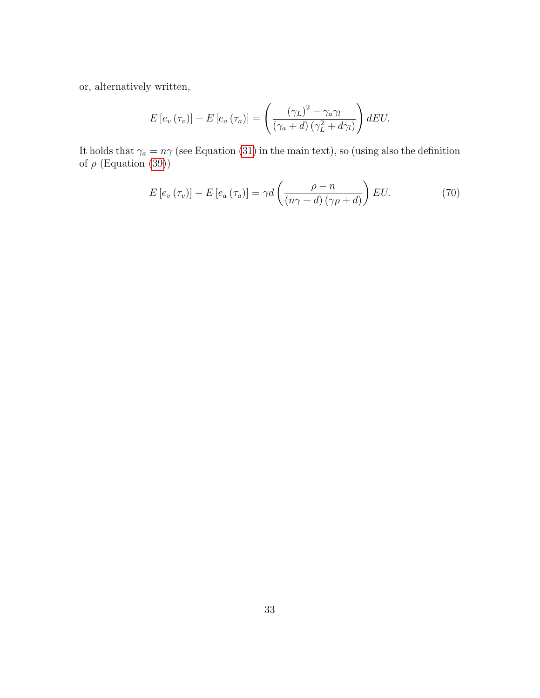or, alternatively written,

$$
E\left[e_v\left(\tau_v\right)\right] - E\left[e_a\left(\tau_a\right)\right] = \left(\frac{\left(\gamma_L\right)^2 - \gamma_a \gamma_l}{\left(\gamma_a + d\right)\left(\gamma_L^2 + d\gamma_l\right)}\right) dEU.
$$

It holds that  $\gamma_a = n\gamma$  (see Equation [\(31\)](#page-15-4) in the main text), so (using also the definition of  $\rho$  (Equation [\(39\)](#page-18-1))

<span id="page-33-0"></span>
$$
E\left[e_v\left(\tau_v\right)\right] - E\left[e_a\left(\tau_a\right)\right] = \gamma d\left(\frac{\rho - n}{\left(n\gamma + d\right)\left(\gamma \rho + d\right)}\right) EU. \tag{70}
$$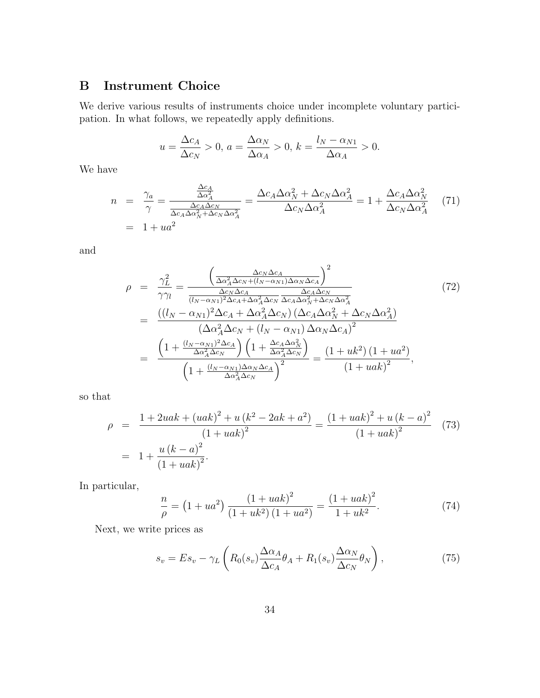### <span id="page-34-0"></span>B Instrument Choice

We derive various results of instruments choice under incomplete voluntary participation. In what follows, we repeatedly apply definitions.

$$
u = \frac{\Delta c_A}{\Delta c_N} > 0, \ a = \frac{\Delta \alpha_N}{\Delta \alpha_A} > 0, \ k = \frac{l_N - \alpha_{N1}}{\Delta \alpha_A} > 0.
$$

We have

<span id="page-34-1"></span>
$$
n = \frac{\gamma_a}{\gamma} = \frac{\frac{\Delta c_A}{\Delta \alpha_A^2}}{\frac{\Delta c_A \Delta c_N}{\Delta c_A \Delta \alpha_N^2 + \Delta c_N \Delta \alpha_A^2}} = \frac{\Delta c_A \Delta \alpha_N^2 + \Delta c_N \Delta \alpha_A^2}{\Delta c_N \Delta \alpha_A^2} = 1 + \frac{\Delta c_A \Delta \alpha_N^2}{\Delta c_N \Delta \alpha_A^2}
$$
(71)  
= 1 + ua<sup>2</sup>

and

<span id="page-34-5"></span>
$$
\rho = \frac{\gamma_L^2}{\gamma \gamma_l} = \frac{\left(\frac{\Delta c_N \Delta c_A}{\Delta \alpha_A^2 \Delta c_N + (l_N - \alpha_{N1}) \Delta \alpha_N \Delta c_A}\right)^2}{\frac{\Delta c_N \Delta c_A}{(l_N - \alpha_{N1})^2 \Delta c_A + \Delta \alpha_A^2 \Delta c_N} \frac{\Delta c_A \Delta c_N}{\Delta c_A \Delta \alpha_N^2 + \Delta c_N \Delta \alpha_A^2}}{\frac{\left((l_N - \alpha_{N1})^2 \Delta c_A + \Delta \alpha_A^2 \Delta c_N\right) \left(\Delta c_A \Delta \alpha_N^2 + \Delta c_N \Delta \alpha_A^2\right)}{\left(\Delta \alpha_A^2 \Delta c_N + (l_N - \alpha_{N1}) \Delta \alpha_N \Delta c_A\right)^2}} = \frac{\left(1 + \frac{(l_N - \alpha_{N1})^2 \Delta c_A}{\Delta \alpha_A^2 \Delta c_N}\right) \left(1 + \frac{\Delta c_A \Delta \alpha_N^2}{\Delta \alpha_A^2 \Delta c_N}\right)}{\left(1 + \frac{(l_N - \alpha_{N1}) \Delta \alpha_N \Delta c_A}{\Delta \alpha_A^2 \Delta c_N}\right)^2} = \frac{\left(1 + uk^2\right) \left(1 + ua^2\right)}{\left(1 + uak\right)^2},
$$
\n(72)

so that

<span id="page-34-2"></span>
$$
\rho = \frac{1 + 2uak + (uak)^2 + u(k^2 - 2ak + a^2)}{(1 + uak)^2} = \frac{(1 + uak)^2 + u(k - a)^2}{(1 + uak)^2}
$$
(73)  
=  $1 + \frac{u(k - a)^2}{(1 + uak)^2}$ .

In particular,

<span id="page-34-3"></span>
$$
\frac{n}{\rho} = \left(1 + ua^2\right) \frac{\left(1 + uak\right)^2}{\left(1 + uk^2\right)\left(1 + ua^2\right)} = \frac{\left(1 + uak\right)^2}{1 + uk^2}.\tag{74}
$$

Next, we write prices as

<span id="page-34-4"></span>
$$
s_v = Es_v - \gamma_L \left( R_0(s_v) \frac{\Delta \alpha_A}{\Delta c_A} \theta_A + R_1(s_v) \frac{\Delta \alpha_N}{\Delta c_N} \theta_N \right),\tag{75}
$$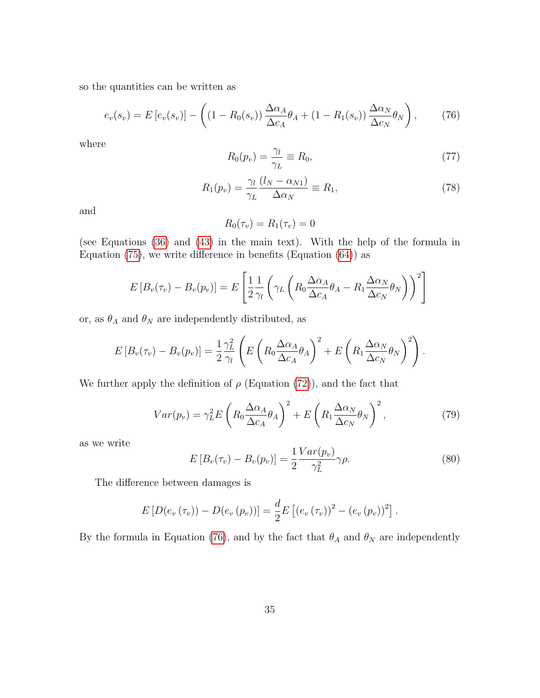so the quantities can be written as

<span id="page-35-1"></span>
$$
e_v(s_v) = E\left[e_v(s_v)\right] - \left( \left(1 - R_0(s_v)\right) \frac{\Delta \alpha_A}{\Delta c_A} \theta_A + \left(1 - R_1(s_v)\right) \frac{\Delta \alpha_N}{\Delta c_N} \theta_N \right),\tag{76}
$$

where

<span id="page-35-3"></span>
$$
R_0(p_v) = \frac{\gamma_l}{\gamma_L} \equiv R_0,\tag{77}
$$

<span id="page-35-4"></span>
$$
R_1(p_v) = \frac{\gamma_l}{\gamma_L} \frac{(l_N - \alpha_{N1})}{\Delta \alpha_N} \equiv R_1,\tag{78}
$$

and

$$
R_0(\tau_v) = R_1(\tau_v) = 0
$$

(see Equations [\(36\)](#page-17-0) and [\(43\)](#page-19-2) in the main text). With the help of the formula in Equation [\(75\)](#page-34-4), we write difference in benefits (Equation [\(64\)](#page-31-1)) as

$$
E\left[B_v(\tau_v) - B_v(p_v)\right] = E\left[\frac{1}{2}\frac{1}{\gamma_l}\left(\gamma_L\left(R_0\frac{\Delta\alpha_A}{\Delta c_A}\theta_A - R_1\frac{\Delta\alpha_N}{\Delta c_N}\theta_N\right)\right)^2\right]
$$

or, as  $\theta_A$  and  $\theta_N$  are independently distributed, as

$$
E\left[B_v(\tau_v) - B_v(p_v)\right] = \frac{1}{2} \frac{\gamma_L^2}{\gamma_l} \left( E\left(R_0 \frac{\Delta \alpha_A}{\Delta c_A} \theta_A\right)^2 + E\left(R_1 \frac{\Delta \alpha_N}{\Delta c_N} \theta_N\right)^2 \right).
$$

We further apply the definition of  $\rho$  (Equation [\(72\)](#page-34-5)), and the fact that

<span id="page-35-2"></span>
$$
Var(p_v) = \gamma_L^2 E \left( R_0 \frac{\Delta \alpha_A}{\Delta c_A} \theta_A \right)^2 + E \left( R_1 \frac{\Delta \alpha_N}{\Delta c_N} \theta_N \right)^2, \tag{79}
$$

as we write

<span id="page-35-0"></span>
$$
E\left[B_v(\tau_v) - B_v(p_v)\right] = \frac{1}{2} \frac{Var(p_v)}{\gamma_L^2} \gamma \rho.
$$
\n(80)

The difference between damages is

$$
E[D(e_v(\tau_v)) - D(e_v(p_v))] = \frac{d}{2}E[(e_v(\tau_v))^2 - (e_v(p_v))^2].
$$

By the formula in Equation [\(76\)](#page-35-1), and by the fact that  $\theta_A$  and  $\theta_N$  are independently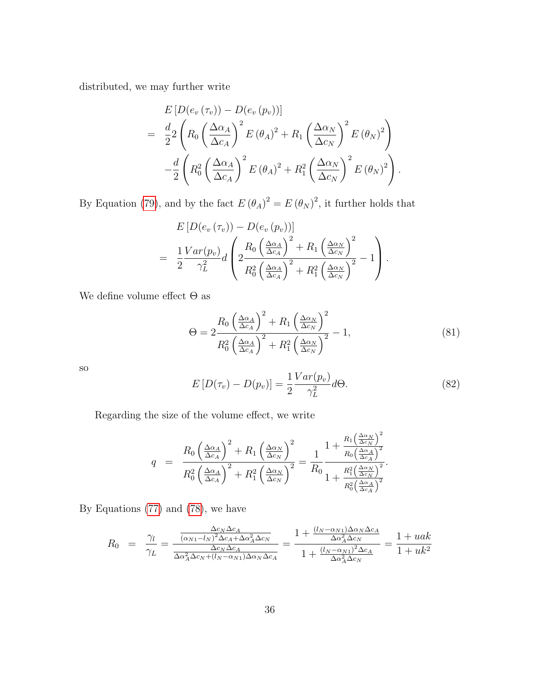distributed, we may further write

$$
E\left[D(e_v\left(\tau_v\right)) - D(e_v\left(p_v\right))\right]
$$
\n
$$
= \frac{d}{2} 2 \left(R_0 \left(\frac{\Delta \alpha_A}{\Delta c_A}\right)^2 E\left(\theta_A\right)^2 + R_1 \left(\frac{\Delta \alpha_N}{\Delta c_N}\right)^2 E\left(\theta_N\right)^2\right)
$$
\n
$$
- \frac{d}{2} \left(R_0^2 \left(\frac{\Delta \alpha_A}{\Delta c_A}\right)^2 E\left(\theta_A\right)^2 + R_1^2 \left(\frac{\Delta \alpha_N}{\Delta c_N}\right)^2 E\left(\theta_N\right)^2\right).
$$

By Equation [\(79\)](#page-35-2), and by the fact  $E(\theta_A)^2 = E(\theta_N)^2$ , it further holds that

$$
E\left[D(e_v\left(\tau_v\right)) - D(e_v\left(p_v\right))\right] = \frac{1}{2} \frac{Var(p_v)}{\gamma_L^2} d \left(2 \frac{R_0 \left(\frac{\Delta \alpha_A}{\Delta c_A}\right)^2 + R_1 \left(\frac{\Delta \alpha_N}{\Delta c_N}\right)^2}{R_0^2 \left(\frac{\Delta \alpha_A}{\Delta c_A}\right)^2 + R_1^2 \left(\frac{\Delta \alpha_N}{\Delta c_N}\right)^2} - 1\right).
$$

We define volume effect  $\Theta$  as

<span id="page-36-1"></span>
$$
\Theta = 2 \frac{R_0 \left(\frac{\Delta \alpha_A}{\Delta c_A}\right)^2 + R_1 \left(\frac{\Delta \alpha_N}{\Delta c_N}\right)^2}{R_0^2 \left(\frac{\Delta \alpha_A}{\Delta c_A}\right)^2 + R_1^2 \left(\frac{\Delta \alpha_N}{\Delta c_N}\right)^2} - 1,\tag{81}
$$

so

<span id="page-36-0"></span>
$$
E\left[D(\tau_v) - D(p_v)\right] = \frac{1}{2} \frac{Var(p_v)}{\gamma_L^2} d\Theta.
$$
\n(82)

Regarding the size of the volume effect, we write

$$
q = \frac{R_0 \left(\frac{\Delta \alpha_A}{\Delta c_A}\right)^2 + R_1 \left(\frac{\Delta \alpha_N}{\Delta c_N}\right)^2}{R_0^2 \left(\frac{\Delta \alpha_A}{\Delta c_A}\right)^2 + R_1^2 \left(\frac{\Delta \alpha_N}{\Delta c_N}\right)^2} = \frac{1}{R_0} \frac{1 + \frac{R_1 \left(\frac{\Delta \alpha_N}{\Delta c_N}\right)^2}{R_0 \left(\frac{\Delta \alpha_A}{\Delta c_N}\right)^2}}{1 + \frac{R_1^2 \left(\frac{\Delta \alpha_N}{\Delta c_N}\right)^2}{R_0^2 \left(\frac{\Delta \alpha_A}{\Delta c_A}\right)^2}}.
$$

By Equations [\(77\)](#page-35-3) and [\(78\)](#page-35-4), we have

$$
R_0 = \frac{\gamma_l}{\gamma_L} = \frac{\frac{\Delta c_N \Delta c_A}{(\alpha_{N1} - l_N)^2 \Delta c_A + \Delta \alpha_A^2 \Delta c_N}}{\frac{\Delta c_N \Delta c_A}{\Delta \alpha_A^2 \Delta c_N + (l_N - \alpha_{N1}) \Delta \alpha_N \Delta c_A}} = \frac{1 + \frac{(l_N - \alpha_{N1}) \Delta \alpha_N \Delta c_A}{\Delta \alpha_A^2 \Delta c_N}}{1 + \frac{(l_N - \alpha_{N1})^2 \Delta c_A}{\Delta \alpha_A^2 \Delta c_N}} = \frac{1 + uak}{1 + uk^2}
$$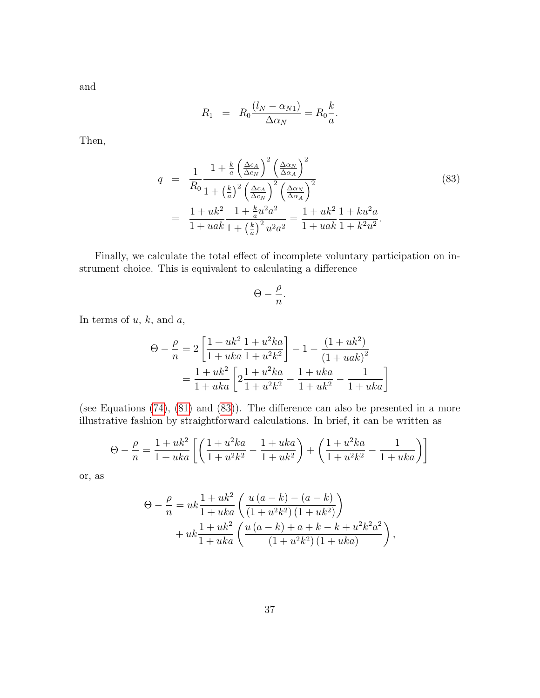and

$$
R_1 = R_0 \frac{(l_N - \alpha_{N1})}{\Delta \alpha_N} = R_0 \frac{k}{a}.
$$

Then,

<span id="page-37-0"></span>
$$
q = \frac{1}{R_0} \frac{1 + \frac{k}{a} \left(\frac{\Delta c_A}{\Delta c_N}\right)^2 \left(\frac{\Delta \alpha_N}{\Delta \alpha_A}\right)^2}{1 + \left(\frac{k}{a}\right)^2 \left(\frac{\Delta c_A}{\Delta c_N}\right)^2 \left(\frac{\Delta \alpha_N}{\Delta \alpha_A}\right)^2} \\
= \frac{1 + uk^2}{1 + uak} \frac{1 + \frac{k}{a}u^2a^2}{1 + \left(\frac{k}{a}\right)^2 u^2a^2} = \frac{1 + uk^2}{1 + uak} \frac{1 + ku^2a}{1 + k^2u^2}.
$$
\n(83)

Finally, we calculate the total effect of incomplete voluntary participation on instrument choice. This is equivalent to calculating a difference

$$
\Theta - \frac{\rho}{n}.
$$

In terms of  $u, k$ , and  $a$ ,

$$
\Theta - \frac{\rho}{n} = 2 \left[ \frac{1 + uk^2}{1 + uka} \frac{1 + u^2ka}{1 + u^2k^2} \right] - 1 - \frac{(1 + uk^2)}{(1 + uak)^2}
$$

$$
= \frac{1 + uk^2}{1 + uka} \left[ 2 \frac{1 + u^2ka}{1 + u^2k^2} - \frac{1 + uka}{1 + uk^2} - \frac{1}{1 + uka} \right]
$$

(see Equations [\(74\)](#page-34-3), [\(81\)](#page-36-1) and [\(83\)](#page-37-0)). The difference can also be presented in a more illustrative fashion by straightforward calculations. In brief, it can be written as

$$
\Theta - \frac{\rho}{n} = \frac{1 + uk^2}{1 + uka} \left[ \left( \frac{1 + u^2ka}{1 + u^2k^2} - \frac{1 + uka}{1 + uk^2} \right) + \left( \frac{1 + u^2ka}{1 + u^2k^2} - \frac{1}{1 + uka} \right) \right]
$$

or, as

$$
\Theta - \frac{\rho}{n} = uk \frac{1+uk^2}{1+uka} \left( \frac{u (a-k) - (a-k)}{(1+u^2k^2) (1+uk^2)} \right) + uk \frac{1+uk^2}{1+uka} \left( \frac{u (a-k) + a+k - k + u^2k^2a^2}{(1+u^2k^2) (1+uka)} \right),
$$